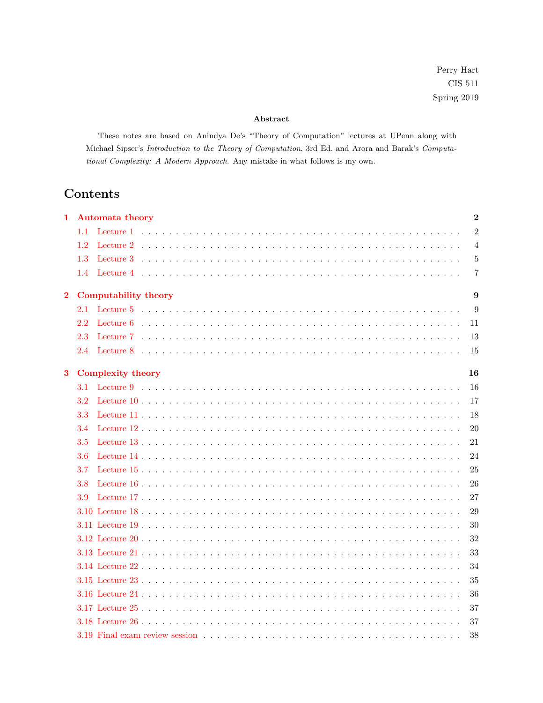# **Abstract**

These notes are based on Anindya De's "Theory of Computation" lectures at UPenn along with Michael Sipser's *Introduction to the Theory of Computation*, 3rd Ed. and Arora and Barak's *Computational Complexity: A Modern Approach*. Any mistake in what follows is my own.

# **Contents**

| 1        | <b>Automata theory</b>   | $\overline{2}$ |
|----------|--------------------------|----------------|
|          | 1.1                      | $\overline{2}$ |
|          | 1.2                      | $\overline{4}$ |
|          | 1.3                      | 5              |
|          | 1.4                      | 7              |
|          |                          |                |
| $\bf{2}$ | Computability theory     | 9              |
|          | 2.1                      | 9              |
|          | 2.2                      | 11             |
|          | 2.3                      | 13             |
|          | 2.4                      | 15             |
| $\bf{3}$ | <b>Complexity theory</b> | 16             |
|          | 3.1                      | 16             |
|          | 3.2                      | 17             |
|          | 3.3                      | 18             |
|          | 3.4                      | 20             |
|          | 3.5                      | 21             |
|          | 3.6                      | 24             |
|          | 3.7                      | 25             |
|          | 3.8                      | 26             |
|          | 3.9                      | 27             |
|          |                          | 29             |
|          |                          | 30             |
|          |                          | 32             |
|          |                          | 33             |
|          |                          | 34             |
|          |                          |                |
|          |                          | 35             |
|          |                          | 36             |
|          |                          | 37             |
|          |                          | 37             |
|          |                          | 38             |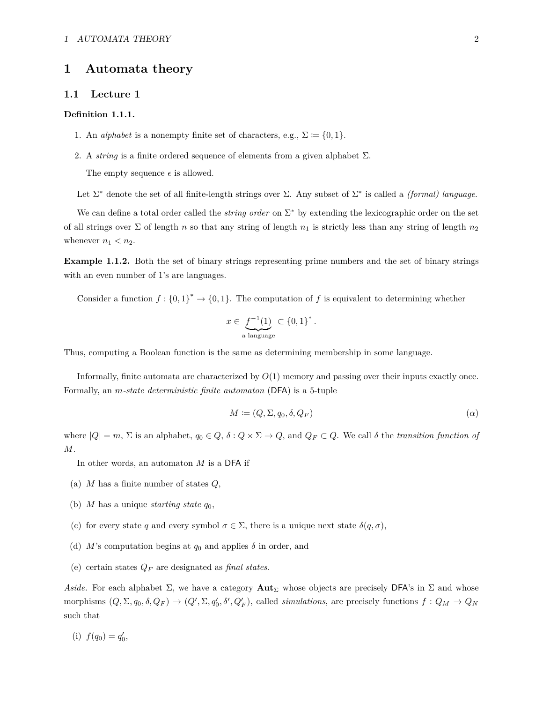# <span id="page-1-0"></span>**1 Automata theory**

### <span id="page-1-1"></span>**1.1 Lecture 1**

#### **Definition 1.1.1.**

- 1. An *alphabet* is a nonempty finite set of characters, e.g.,  $\Sigma := \{0, 1\}.$
- 2. A *string* is a finite ordered sequence of elements from a given alphabet  $\Sigma$ . The empty sequence  $\epsilon$  is allowed.

Let Σ<sup>∗</sup> denote the set of all finite-length strings over Σ. Any subset of Σ<sup>∗</sup> is called a *(formal) language*.

We can define a total order called the *string order* on Σ<sup>∗</sup> by extending the lexicographic order on the set of all strings over  $\Sigma$  of length *n* so that any string of length  $n_1$  is strictly less than any string of length  $n_2$ whenever  $n_1 < n_2$ .

**Example 1.1.2.** Both the set of binary strings representing prime numbers and the set of binary strings with an even number of 1's are languages.

Consider a function  $f: \{0,1\}^* \to \{0,1\}$ . The computation of f is equivalent to determining whether

$$
x \in \underbrace{f^{-1}(1)}_{\text{a language}} \subset \{0,1\}^*.
$$

Thus, computing a Boolean function is the same as determining membership in some language.

Informally, finite automata are characterized by *O*(1) memory and passing over their inputs exactly once. Formally, an *m-state deterministic finite automaton* (DFA) is a 5-tuple

<span id="page-1-2"></span>
$$
M \coloneqq (Q, \Sigma, q_0, \delta, Q_F) \tag{a}
$$

where  $|Q| = m$ ,  $\Sigma$  is an alphabet,  $q_0 \in Q$ ,  $\delta: Q \times \Sigma \to Q$ , and  $Q_F \subset Q$ . We call  $\delta$  the *transition function of M*.

In other words, an automaton *M* is a DFA if

- (a) *M* has a finite number of states *Q*,
- (b) *M* has a unique *starting state*  $q_0$ ,
- (c) for every state *q* and every symbol  $\sigma \in \Sigma$ , there is a unique next state  $\delta(q, \sigma)$ ,
- (d) *M*'s computation begins at  $q_0$  and applies  $\delta$  in order, and
- (e) certain states *Q<sup>F</sup>* are designated as *final states*.

Aside. For each alphabet  $\Sigma$ , we have a category **Aut**<sub>Σ</sub> whose objects are precisely DFA's in  $\Sigma$  and whose morphisms  $(Q, \Sigma, q_0, \delta, Q_F) \to (Q', \Sigma, q'_0, \delta', Q'_F)$ , called *simulations*, are precisely functions  $f: Q_M \to Q_N$ such that

(i)  $f(q_0) = q'_0,$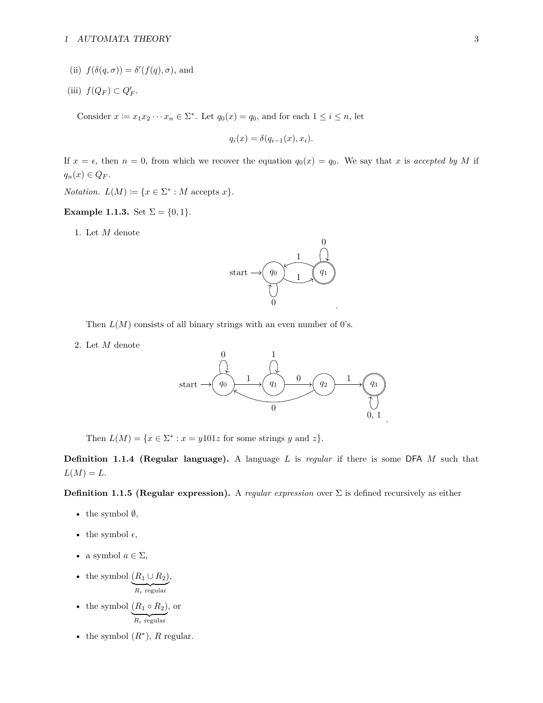- (ii)  $f(\delta(q, \sigma)) = \delta'(f(q), \sigma)$ , and
- (iii)  $f(Q_F) \subset Q'_F$ .

Consider  $x \coloneqq x_1 x_2 \cdots x_n \in \Sigma^*$ . Let  $q_0(x) = q_0$ , and for each  $1 \leq i \leq n$ , let

$$
q_i(x) = \delta(q_{i-1}(x), x_i).
$$

If  $x = \epsilon$ , then  $n = 0$ , from which we recover the equation  $q_0(x) = q_0$ . We say that *x* is *accepted by M* if  $q_n(x) \in Q_F$ .

*Notation.*  $L(M) := \{x \in \Sigma^* : M \text{ accepts } x\}.$ 

# **Example 1.1.3.** Set  $\Sigma = \{0, 1\}.$

1. Let *M* denote



Then  $L(M)$  consists of all binary strings with an even number of 0's.

2. Let *M* denote



Then  $L(M) = \{x \in \Sigma^* : x = y101z \text{ for some strings } y \text{ and } z\}.$ 

**Definition 1.1.4 (Regular language).** A language *L* is *regular* if there is some DFA *M* such that  $L(M) = L$ .

**Definition 1.1.5 (Regular expression).** A *regular expression* over Σ is defined recursively as either

- the symbol  $\emptyset$ ,
- the symbol  $\epsilon$ ,
- a symbol  $a \in \Sigma$ ,
- the symbol  $(R_1 \cup R_2)$  $R_i$  regular ,
- the symbol  $(R_1 \circ R_2)$  $R_i$  regular , or
- the symbol  $(R^*)$ , *R* regular.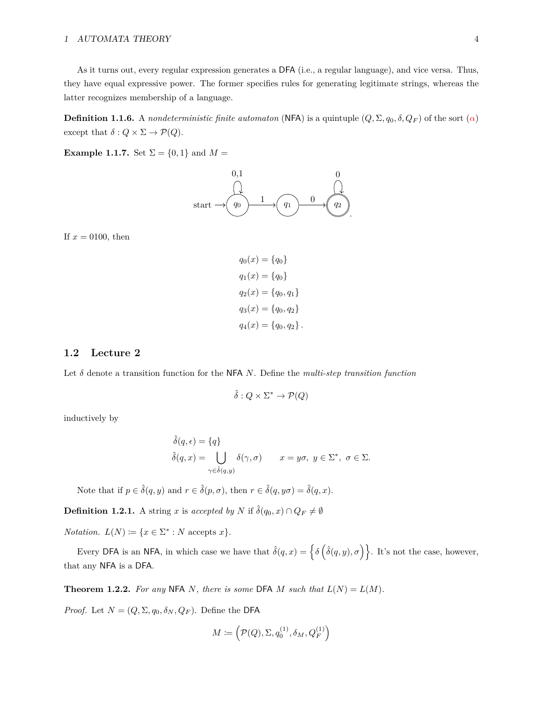# 1 AUTOMATA THEORY 4

As it turns out, every regular expression generates a DFA (i.e., a regular language), and vice versa. Thus, they have equal expressive power. The former specifies rules for generating legitimate strings, whereas the latter recognizes membership of a language.

**Definition 1.1.6.** A *nondeterministic finite automaton* (NFA) is a quintuple  $(Q, \Sigma, q_0, \delta, Q_F)$  of the sort  $(\alpha)$ except that  $\delta: Q \times \Sigma \to \mathcal{P}(Q)$ .

**Example 1.1.7.** Set  $\Sigma = \{0, 1\}$  and  $M =$ 



If  $x = 0100$ , then

$$
q_0(x) = \{q_0\}
$$
  
\n
$$
q_1(x) = \{q_0\}
$$
  
\n
$$
q_2(x) = \{q_0, q_1\}
$$
  
\n
$$
q_3(x) = \{q_0, q_2\}
$$
  
\n
$$
q_4(x) = \{q_0, q_2\}.
$$

# <span id="page-3-0"></span>**1.2 Lecture 2**

Let  $\delta$  denote a transition function for the NFA *N*. Define the *multi-step transition function* 

$$
\hat{\delta}: Q \times \Sigma^* \to \mathcal{P}(Q)
$$

inductively by

$$
\hat{\delta}(q, \epsilon) = \{q\}
$$
  

$$
\hat{\delta}(q, x) = \bigcup_{\gamma \in \hat{\delta}(q, y)} \delta(\gamma, \sigma) \qquad x = y\sigma, \ y \in \Sigma^*, \ \sigma \in \Sigma.
$$

Note that if  $p \in \hat{\delta}(q, y)$  and  $r \in \hat{\delta}(p, \sigma)$ , then  $r \in \hat{\delta}(q, y\sigma) = \hat{\delta}(q, x)$ .

**Definition 1.2.1.** A string *x* is *accepted by N* if  $\hat{\delta}(q_0, x) \cap Q_F \neq \emptyset$ 

*Notation.*  $L(N) := \{x \in \Sigma^* : N \text{ accepts } x\}.$ 

Every DFA is an NFA, in which case we have that  $\hat{\delta}(q, x) = \left\{ \delta \left( \hat{\delta}(q, y), \sigma \right) \right\}$ . It's not the case, however, that any NFA is a DFA.

<span id="page-3-1"></span>**Theorem 1.2.2.** For any NFA N, there is some DFA M such that  $L(N) = L(M)$ .

*Proof.* Let  $N = (Q, \Sigma, q_0, \delta_N, Q_F)$ . Define the DFA

$$
M \coloneqq \left(\mathcal{P}(Q), \Sigma, q_0^{(1)}, \delta_M, Q_F^{(1)}\right)
$$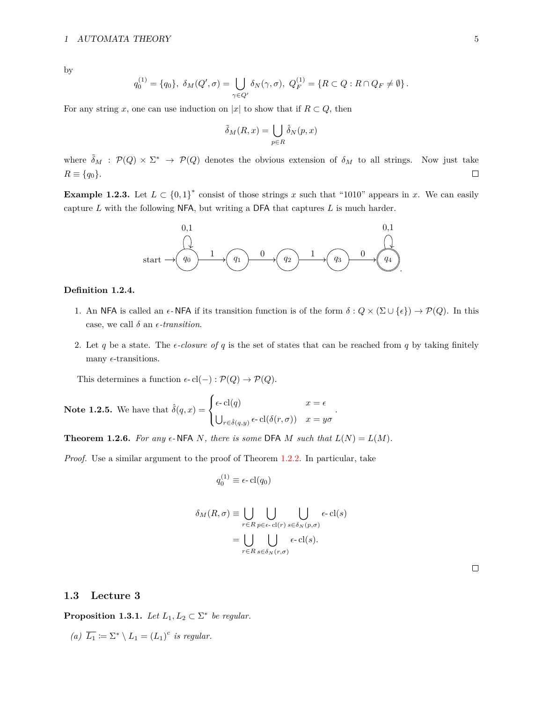by

$$
q_0^{(1)} = \{q_0\}, \ \delta_M(Q',\sigma) = \bigcup_{\gamma \in Q'} \delta_N(\gamma,\sigma), \ Q_F^{(1)} = \{R \subset Q : R \cap Q_F \neq \emptyset\}.
$$

For any string *x*, one can use induction on |*x*| to show that if  $R \subset Q$ , then

$$
\tilde{\delta}_M(R, x) = \bigcup_{p \in R} \hat{\delta}_N(p, x)
$$

where  $\tilde{\delta}_M$ :  $\mathcal{P}(Q) \times \Sigma^*$   $\rightarrow$   $\mathcal{P}(Q)$  denotes the obvious extension of  $\delta_M$  to all strings. Now just take  $R \equiv \{q_0\}.$  $\Box$ 

**Example 1.2.3.** Let  $L \subset \{0,1\}^*$  consist of those strings *x* such that "1010" appears in *x*. We can easily capture *L* with the following NFA, but writing a DFA that captures *L* is much harder.



#### **Definition 1.2.4.**

- 1. An NFA is called an  $\epsilon$ -NFA if its transition function is of the form  $\delta: Q \times (\Sigma \cup {\epsilon}) \to \mathcal{P}(Q)$ . In this case, we call  $\delta$  an  $\epsilon$ -transition.
- 2. Let *q* be a state. The *e-closure of q* is the set of states that can be reached from *q* by taking finitely many  $\epsilon$ -transitions.

This determines a function  $\epsilon$ -cl(−) :  $\mathcal{P}(Q) \to \mathcal{P}(Q)$ .

**Note 1.2.5.** We have that 
$$
\hat{\delta}(q, x) = \begin{cases} \epsilon \cdot \text{cl}(q) & x = \epsilon \\ \bigcup_{r \in \hat{\delta}(q, y)} \epsilon \cdot \text{cl}(\delta(r, \sigma)) & x = y\sigma \end{cases}
$$
.

**Theorem 1.2.6.** For any  $\epsilon$ -NFA *N, there is some* DFA *M such that*  $L(N) = L(M)$ *.* 

*Proof.* Use a similar argument to the proof of Theorem [1.2.2.](#page-3-1) In particular, take

$$
q_0^{(1)} \equiv \epsilon \text{-}\mathrm{cl}(q_0)
$$

$$
\delta_M(R,\sigma) \equiv \bigcup_{r \in R} \bigcup_{p \in \epsilon \text{-} cl(r)} \bigcup_{s \in \delta_N(p,\sigma)} \epsilon \text{-} cl(s)
$$

$$
= \bigcup_{r \in R} \bigcup_{s \in \delta_N(r,\sigma)} \epsilon \text{-} cl(s).
$$

 $\Box$ 

# <span id="page-4-0"></span>**1.3 Lecture 3**

**Proposition 1.3.1.** *Let*  $L_1, L_2 \subset \Sigma^*$  *be regular.* 

*(a)*  $\overline{L_1} := \Sigma^* \setminus L_1 = (L_1)^c$  *is regular.*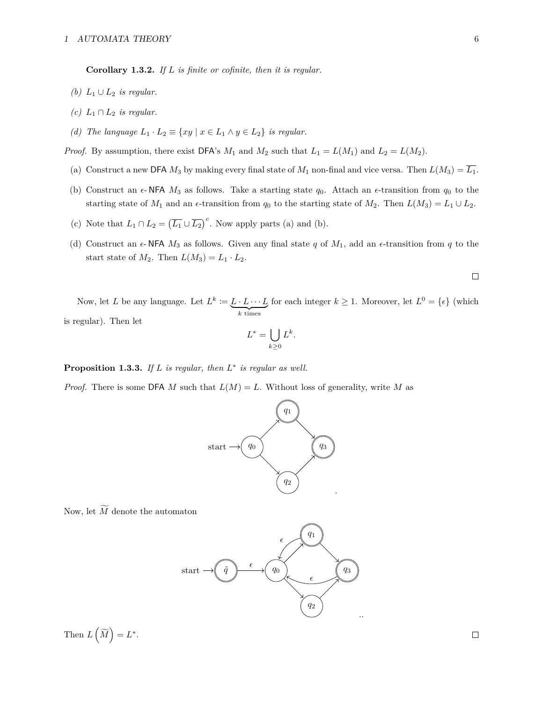**Corollary 1.3.2.** *If L is finite or cofinite, then it is regular.*

- *(b)*  $L_1 ∪ L_2$  *is regular.*
- *(c)*  $L_1 ∩ L_2$  *is regular.*
- *(d) The language*  $L_1 \cdot L_2 \equiv \{xy \mid x \in L_1 \wedge y \in L_2\}$  *is regular.*

*Proof.* By assumption, there exist  $\mathsf{DFA}\simeq M_1$  and  $M_2$  such that  $L_1 = L(M_1)$  and  $L_2 = L(M_2)$ .

- (a) Construct a new DFA  $M_3$  by making every final state of  $M_1$  non-final and vice versa. Then  $L(M_3) = \overline{L_1}$ .
- (b) Construct an  $\epsilon$ -NFA  $M_3$  as follows. Take a starting state  $q_0$ . Attach an  $\epsilon$ -transition from  $q_0$  to the starting state of  $M_1$  and an  $\epsilon$ -transition from  $q_0$  to the starting state of  $M_2$ . Then  $L(M_3) = L_1 \cup L_2$ .
- (c) Note that  $L_1 \cap L_2 = (\overline{L_1} \cup \overline{L_2})^c$ . Now apply parts (a) and (b).
- (d) Construct an  $\epsilon$ -NFA  $M_3$  as follows. Given any final state q of  $M_1$ , add an  $\epsilon$ -transition from q to the start state of  $M_2$ . Then  $L(M_3) = L_1 \cdot L_2$ .

$$
\Box
$$

Now, let *L* be any language. Let  $L^k := L \cdot L \cdots L$  $\overline{k}$  times for each integer  $k \geq 1$ . Moreover, let  $L^0 = \{ \epsilon \}$  (which is regular). Then let

$$
L^* = \bigcup_{k \ge 0} L^k.
$$

**Proposition 1.3.3.** *If L is regular, then L* ∗ *is regular as well.*

*Proof.* There is some DFA *M* such that  $L(M) = L$ . Without loss of generality, write *M* as



Now, let  $\widetilde{M}$  denote the automaton



Then  $L(\widetilde{M}) = L^*$ .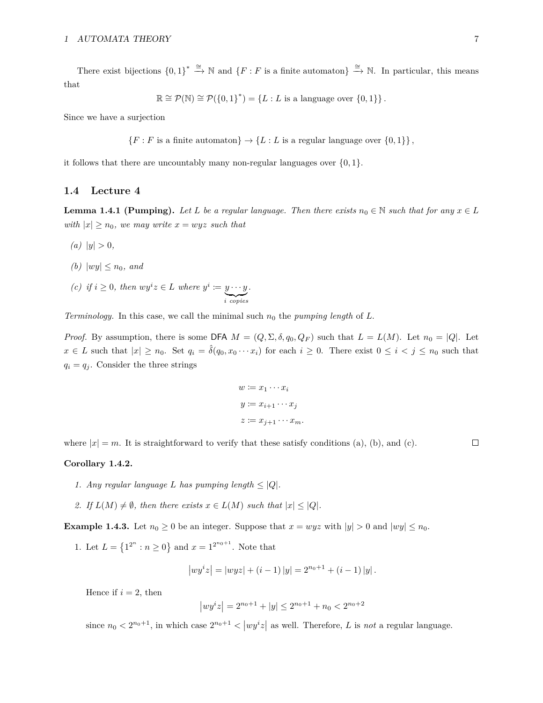There exist bijections  ${0,1}^* \stackrel{\cong}{\to} \mathbb{N}$  and  ${F : F$  is a finite automaton  $\cong \mathbb{N}$ . In particular, this means that

$$
\mathbb{R} \cong \mathcal{P}(\mathbb{N}) \cong \mathcal{P}(\{0,1\}^*) = \{L : L \text{ is a language over } \{0,1\} \}.
$$

Since we have a surjection

$$
\{F : F \text{ is a finite automaton}\}\rightarrow \{L : L \text{ is a regular language over } \{0,1\}\},\
$$

it follows that there are uncountably many non-regular languages over {0*,* 1}.

### <span id="page-6-0"></span>**1.4 Lecture 4**

**Lemma 1.4.1 (Pumping).** Let L be a regular language. Then there exists  $n_0 \in \mathbb{N}$  such that for any  $x \in L$ *with*  $|x| \geq n_0$ *, we may write*  $x = wyz$  *such that* 

- $(a)$  |*y*|  $> 0$ *,*
- *(b)*  $|wy| \leq n_0$ *, and*
- *(c) if*  $i \geq 0$ *, then*  $wy^{i}z \in L$  *where*  $y^{i} := y \cdots y$ | {z } *i copies .*

*Terminology.* In this case, we call the minimal such *n*<sup>0</sup> the *pumping length* of *L*.

*Proof.* By assumption, there is some DFA  $M = (Q, \Sigma, \delta, q_0, Q_F)$  such that  $L = L(M)$ . Let  $n_0 = |Q|$ . Let  $x \in L$  such that  $|x| \geq n_0$ . Set  $q_i = \hat{\delta}(q_0, x_0 \cdots x_i)$  for each  $i \geq 0$ . There exist  $0 \leq i \leq j \leq n_0$  such that  $q_i = q_j$ . Consider the three strings

$$
w := x_1 \cdots x_i
$$
  

$$
y := x_{i+1} \cdots x_j
$$
  

$$
z := x_{j+1} \cdots x_m.
$$

where  $|x| = m$ . It is straightforward to verify that these satisfy conditions (a), (b), and (c).

#### **Corollary 1.4.2.**

- *1. Any regular language L has pumping length*  $\leq |Q|$ *.*
- *2. If*  $L(M) \neq \emptyset$ , then there exists  $x \in L(M)$  *such that*  $|x| \leq |Q|$ *.*

**Example 1.4.3.** Let  $n_0 \ge 0$  be an integer. Suppose that  $x = wyz$  with  $|y| > 0$  and  $|wy| \le n_0$ .

1. Let  $L = \{1^{2^n} : n \ge 0\}$  and  $x = 1^{2^{n_0+1}}$ . Note that

$$
|wy'z| = |wyz| + (i - 1)|y| = 2^{n_0+1} + (i - 1)|y|.
$$

Hence if  $i = 2$ , then

$$
|wy^{i}z| = 2^{n_0+1} + |y| \le 2^{n_0+1} + n_0 < 2^{n_0+2}
$$

since  $n_0 < 2^{n_0+1}$ , in which case  $2^{n_0+1} < |wy^i z|$  as well. Therefore, *L* is *not* a regular language.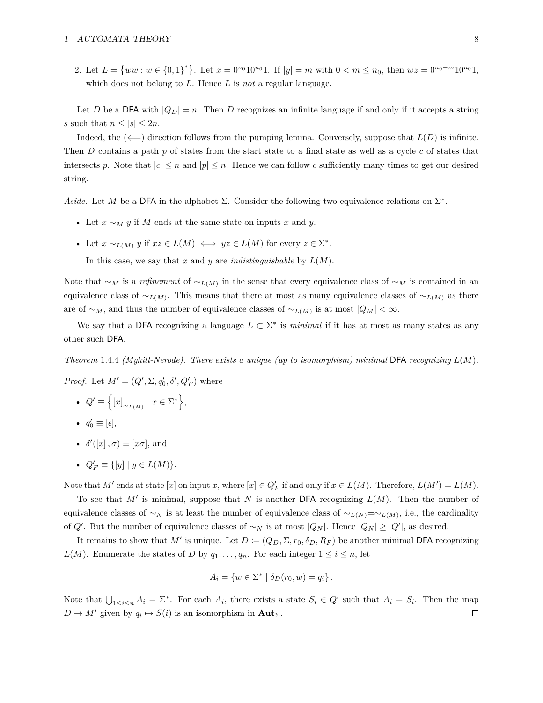2. Let  $L = \{ww : w \in \{0,1\}^*\}$ . Let  $x = 0^{n_0} 10^{n_0} 1$ . If  $|y| = m$  with  $0 < m \le n_0$ , then  $wz = 0^{n_0 - m} 10^{n_0} 1$ , which does not belong to *L*. Hence *L* is *not* a regular language.

Let *D* be a DFA with  $|Q_D| = n$ . Then *D* recognizes an infinite language if and only if it accepts a string *s* such that  $n \leq |s| \leq 2n$ .

Indeed, the  $(\leftarrow)$  direction follows from the pumping lemma. Conversely, suppose that  $L(D)$  is infinite. Then *D* contains a path *p* of states from the start state to a final state as well as a cycle *c* of states that intersects p. Note that  $|c| \leq n$  and  $|p| \leq n$ . Hence we can follow c sufficiently many times to get our desired string.

*Aside.* Let *M* be a DFA in the alphabet  $\Sigma$ . Consider the following two equivalence relations on  $\Sigma^*$ .

- Let *x* ∼*<sup>M</sup> y* if *M* ends at the same state on inputs *x* and *y*.
- Let  $x \sim_{L(M)} y$  if  $xz \in L(M) \iff yz \in L(M)$  for every  $z \in \Sigma^*$ .

In this case, we say that *x* and *y* are *indistinguishable* by *L*(*M*).

Note that  $\sim_M$  is a *refinement* of  $\sim_{L(M)}$  in the sense that every equivalence class of  $\sim_M$  is contained in an equivalence class of  $\sim$ <sub>*L*(*M*)</sub>. This means that there at most as many equivalence classes of  $\sim$ <sub>*L*(*M*)</sub> as there are of  $\sim_M$ , and thus the number of equivalence classes of  $\sim_{L(M)}$  is at most  $|Q_M| < \infty$ .

We say that a DFA recognizing a language  $L \subset \Sigma^*$  is *minimal* if it has at most as many states as any other such DFA.

*Theorem* 1.4.4 *(Myhill-Nerode). There exists a unique (up to isomorphism) minimal* DFA *recognizing L*(*M*)*.*

*Proof.* Let  $M' = (Q', \Sigma, q'_0, \delta', Q'_F)$  where

- $Q' \equiv \left\{ [x]_{\sim_{L(M)}} \mid x \in \Sigma^* \right\},\$
- $q'_0 \equiv [\epsilon],$
- $\delta'([x], \sigma) \equiv [x\sigma],$  and
- $Q'_F \equiv \{[y] \mid y \in L(M)\}.$

Note that  $M'$  ends at state [*x*] on input *x*, where [*x*]  $\in Q_F'$  if and only if  $x \in L(M)$ . Therefore,  $L(M') = L(M)$ .

To see that  $M'$  is minimal, suppose that  $N$  is another DFA recognizing  $L(M)$ . Then the number of equivalence classes of  $\sim_N$  is at least the number of equivalence class of  $\sim_{L(N)}=\sim_{L(M)}$ , i.e., the cardinality of  $Q'$ . But the number of equivalence classes of ∼*N* is at most  $|Q_N|$ . Hence  $|Q_N| \geq |Q'|$ , as desired.

It remains to show that M' is unique. Let  $D := (Q_D, \Sigma, r_0, \delta_D, R_F)$  be another minimal DFA recognizing *L*(*M*). Enumerate the states of *D* by  $q_1, \ldots, q_n$ . For each integer  $1 \leq i \leq n$ , let

$$
A_i = \{ w \in \Sigma^* \mid \delta_D(r_0, w) = q_i \}.
$$

Note that  $\bigcup_{1 \leq i \leq n} A_i = \Sigma^*$ . For each  $A_i$ , there exists a state  $S_i \in Q'$  such that  $A_i = S_i$ . Then the map  $D \to M'$  given by  $q_i \mapsto S(i)$  is an isomorphism in **Aut**<sub>Σ</sub>.  $\Box$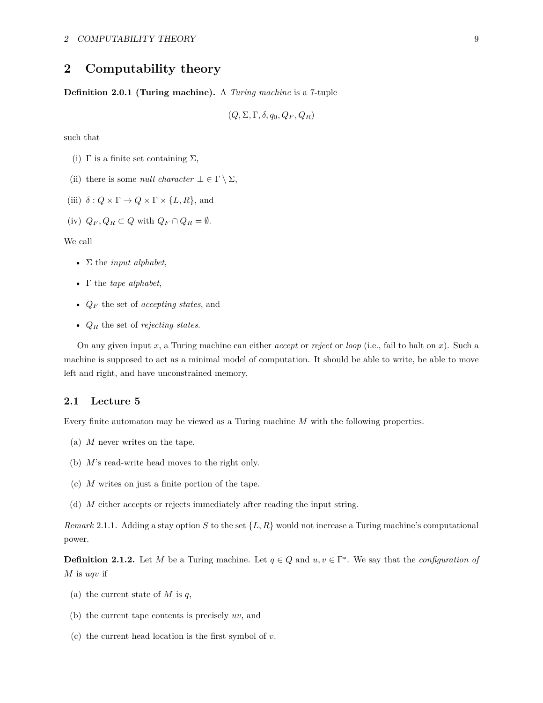# <span id="page-8-0"></span>**2 Computability theory**

**Definition 2.0.1 (Turing machine).** A *Turing machine* is a 7-tuple

$$
(Q, \Sigma, \Gamma, \delta, q_0, Q_F, Q_R)
$$

such that

- (i)  $\Gamma$  is a finite set containing  $\Sigma$ ,
- (ii) there is some *null character*  $\bot \in \Gamma \setminus \Sigma$ ,

(iii)  $\delta: Q \times \Gamma \to Q \times \Gamma \times \{L, R\}$ , and

(iv)  $Q_F, Q_R \subset Q$  with  $Q_F \cap Q_R = \emptyset$ .

We call

- Σ the *input alphabet*,
- Γ the *tape alphabet*,
- *Q<sup>F</sup>* the set of *accepting states*, and
- *Q<sup>R</sup>* the set of *rejecting states*.

On any given input *x*, a Turing machine can either *accept* or *reject* or *loop* (i.e., fail to halt on *x*). Such a machine is supposed to act as a minimal model of computation. It should be able to write, be able to move left and right, and have unconstrained memory.

### <span id="page-8-1"></span>**2.1 Lecture 5**

Every finite automaton may be viewed as a Turing machine *M* with the following properties.

- (a) *M* never writes on the tape.
- (b) *M*'s read-write head moves to the right only.
- (c) *M* writes on just a finite portion of the tape.
- (d) *M* either accepts or rejects immediately after reading the input string.

*Remark* 2.1.1*.* Adding a stay option *S* to the set {*L, R*} would not increase a Turing machine's computational power.

**Definition 2.1.2.** Let *M* be a Turing machine. Let  $q \in Q$  and  $u, v \in \Gamma^*$ . We say that the *configuration of M* is *uqv* if

- (a) the current state of *M* is *q*,
- (b) the current tape contents is precisely *uv*, and
- (c) the current head location is the first symbol of *v*.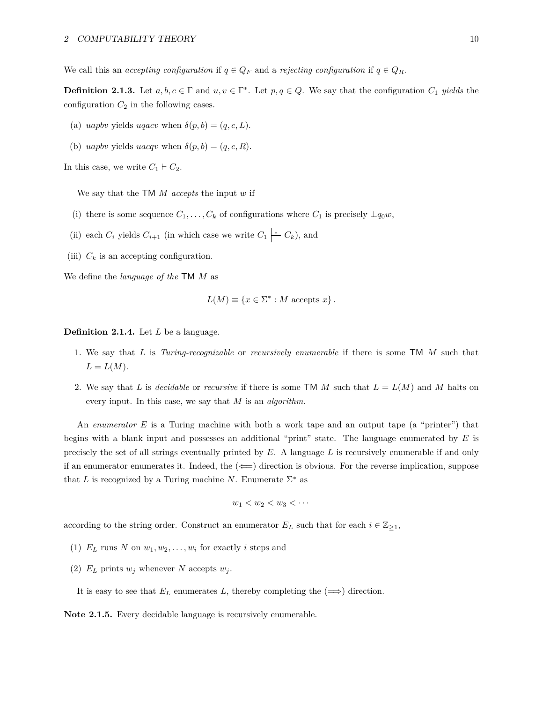We call this an *accepting configuration* if  $q \in Q_F$  and a *rejecting configuration* if  $q \in Q_R$ .

**Definition 2.1.3.** Let  $a, b, c \in \Gamma$  and  $u, v \in \Gamma^*$ . Let  $p, q \in Q$ . We say that the configuration  $C_1$  *yields* the configuration  $C_2$  in the following cases.

- (a) *uapbv* yields *uqacv* when  $\delta(p, b) = (q, c, L)$ .
- (b) *uapbv* yields *uacqv* when  $\delta(p, b) = (q, c, R)$ .

In this case, we write  $C_1 \vdash C_2$ .

We say that the TM *M accepts* the input *w* if

- (i) there is some sequence  $C_1, \ldots, C_k$  of configurations where  $C_1$  is precisely  $\perp q_0w$ ,
- (ii) each  $C_i$  yields  $C_{i+1}$  (in which case we write  $C_1 \downarrow^* C_k$ ), and
- (iii)  $C_k$  is an accepting configuration.

We define the *language of the* TM *M* as

$$
L(M) \equiv \{x \in \Sigma^* : M \text{ accepts } x\}.
$$

**Definition 2.1.4.** Let *L* be a language.

- 1. We say that *L* is *Turing-recognizable* or *recursively enumerable* if there is some TM *M* such that  $L = L(M)$ .
- 2. We say that *L* is *decidable* or *recursive* if there is some TM *M* such that *L* = *L*(*M*) and *M* halts on every input. In this case, we say that *M* is an *algorithm*.

An *enumerator E* is a Turing machine with both a work tape and an output tape (a "printer") that begins with a blank input and possesses an additional "print" state. The language enumerated by *E* is precisely the set of all strings eventually printed by *E*. A language *L* is recursively enumerable if and only if an enumerator enumerates it. Indeed, the  $(\Leftarrow)$  direction is obvious. For the reverse implication, suppose that *L* is recognized by a Turing machine *N*. Enumerate  $\Sigma^*$  as

$$
w_1 < w_2 < w_3 < \cdots
$$

according to the string order. Construct an enumerator  $E_L$  such that for each  $i \in \mathbb{Z}_{\geq 1}$ ,

- (1)  $E_L$  runs *N* on  $w_1, w_2, \ldots, w_i$  for exactly *i* steps and
- (2)  $E_L$  prints  $w_j$  whenever  $N$  accepts  $w_j$ .

It is easy to see that  $E_L$  enumerates *L*, thereby completing the  $(\Longrightarrow)$  direction.

**Note 2.1.5.** Every decidable language is recursively enumerable.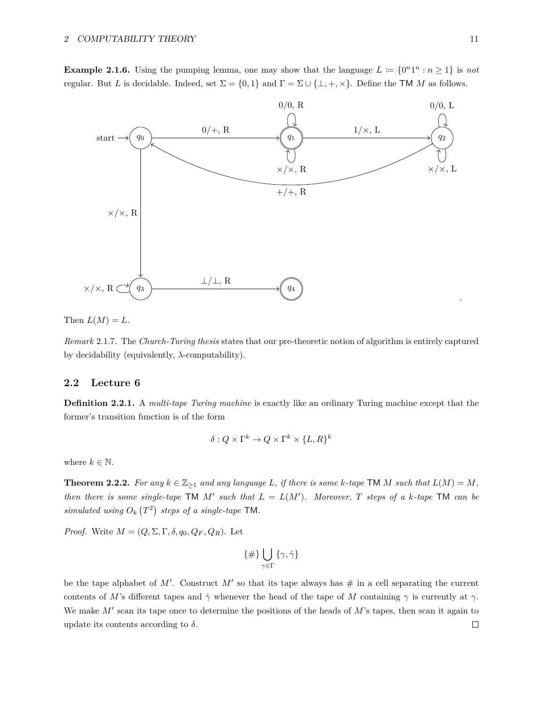**Example 2.1.6.** Using the pumping lemma, one may show that the language  $L := \{0^n1^n : n \ge 1\}$  is not regular. But *L* is decidable. Indeed, set  $\Sigma = \{0,1\}$  and  $\Gamma = \Sigma \cup \{\perp, +, \times\}$ . Define the TM *M* as follows.



Then  $L(M) = L$ .

*Remark* 2.1.7*.* The *Church-Turing thesis* states that our pre-theoretic notion of algorithm is entirely captured by decidability (equivalently, *λ*-computability).

# <span id="page-10-0"></span>**2.2 Lecture 6**

**Definition 2.2.1.** A *multi-tape Turing machine* is exactly like an ordinary Turing machine except that the former's transition function is of the form

$$
\delta: Q \times \Gamma^k \to Q \times \Gamma^k \times \{L, R\}^k
$$

where  $k \in \mathbb{N}$ .

<span id="page-10-1"></span>**Theorem 2.2.2.** For any  $k \in \mathbb{Z}_{\geq 1}$  and any language *L*, if there is some *k*-tape **TM** *M* such that  $L(M) = M$ , *then there is some single-tape*  $TM \t M'$  *such that*  $L = L(M')$ *. Moreover,*  $T$  *steps of a*  $k$ *-tape*  $TM$  *can be* simulated using  $O_k(T^2)$  steps of a single-tape TM.

*Proof.* Write  $M = (Q, \Sigma, \Gamma, \delta, q_0, Q_F, Q_R)$ . Let

$$
\{\#\}\bigcup_{\gamma\in\Gamma}\{\gamma,\dot\gamma\}
$$

be the tape alphabet of M'. Construct M' so that its tape always has  $\#$  in a cell separating the current contents of *M*'s different tapes and  $\dot{\gamma}$  whenever the head of the tape of *M* containing  $\gamma$  is currently at  $\gamma$ . We make  $M'$  scan its tape once to determine the positions of the heads of  $M'$ 's tapes, then scan it again to update its contents according to  $\delta$ .  $\Box$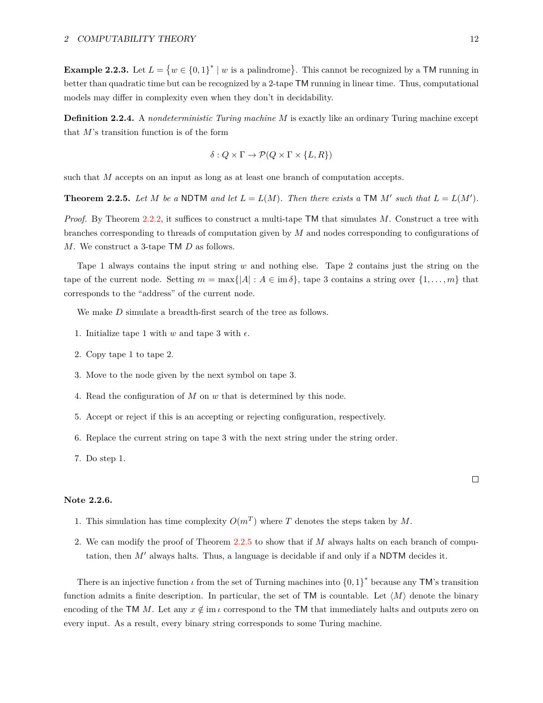**Example 2.2.3.** Let  $L = \{w \in \{0,1\}^* \mid w \text{ is a palindrome}\}\.$  This cannot be recognized by a TM running in better than quadratic time but can be recognized by a 2-tape TM running in linear time. Thus, computational models may differ in complexity even when they don't in decidability.

**Definition 2.2.4.** A *nondeterministic Turing machine M* is exactly like an ordinary Turing machine except that *M*'s transition function is of the form

$$
\delta: Q \times \Gamma \to \mathcal{P}(Q \times \Gamma \times \{L, R\})
$$

such that *M* accepts on an input as long as at least one branch of computation accepts.

<span id="page-11-0"></span>**Theorem 2.2.5.** Let M be a NDTM and let  $L = L(M)$ . Then there exists a TM M' such that  $L = L(M')$ .

*Proof.* By Theorem [2.2.2,](#page-10-1) it suffices to construct a multi-tape TM that simulates *M*. Construct a tree with branches corresponding to threads of computation given by *M* and nodes corresponding to configurations of *M*. We construct a 3-tape TM *D* as follows.

Tape 1 always contains the input string *w* and nothing else. Tape 2 contains just the string on the tape of the current node. Setting  $m = \max\{|A| : A \in \text{im }\delta\}$ , tape 3 contains a string over  $\{1, \ldots, m\}$  that corresponds to the "address" of the current node.

We make *D* simulate a breadth-first search of the tree as follows.

- 1. Initialize tape 1 with *w* and tape 3 with  $\epsilon$ .
- 2. Copy tape 1 to tape 2.
- 3. Move to the node given by the next symbol on tape 3.
- 4. Read the configuration of *M* on *w* that is determined by this node.
- 5. Accept or reject if this is an accepting or rejecting configuration, respectively.
- 6. Replace the current string on tape 3 with the next string under the string order.

7. Do step 1.

#### **Note 2.2.6.**

- 1. This simulation has time complexity  $O(m^T)$  where *T* denotes the steps taken by *M*.
- 2. We can modify the proof of Theorem [2.2.5](#page-11-0) to show that if *M* always halts on each branch of computation, then *M'* always halts. Thus, a language is decidable if and only if a NDTM decides it.

<span id="page-11-1"></span>There is an injective function  $\iota$  from the set of Turning machines into  $\{0,1\}^*$  because any TM's transition function admits a finite description. In particular, the set of TM is countable. Let  $\langle M \rangle$  denote the binary encoding of the TM *M*. Let any  $x \notin \text{im } \iota$  correspond to the TM that immediately halts and outputs zero on every input. As a result, every binary string corresponds to some Turing machine.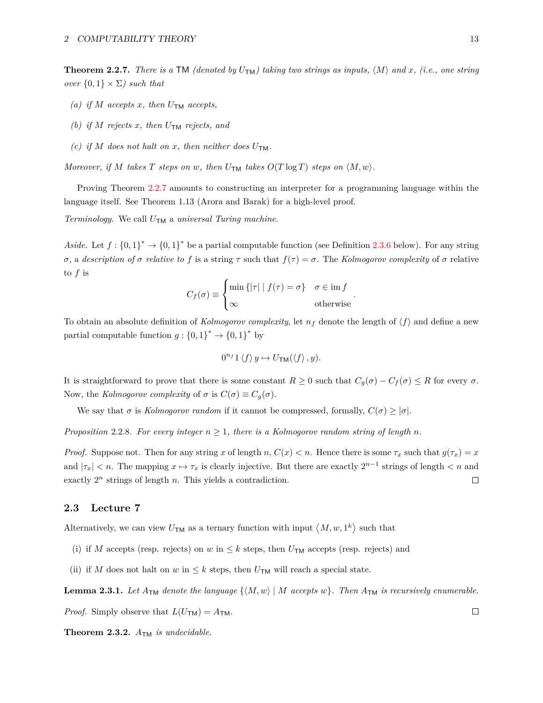**Theorem 2.2.7.** There is a TM *(denoted by*  $U_{TM}$ *) taking two strings as inputs,*  $\langle M \rangle$  and *x*, *(i.e., one string over*  $\{0,1\} \times \Sigma$ *) such that* 

- *(a) if M accepts x, then*  $U_{\text{TM}}$  *accepts,*
- *(b) if*  $M$  *rejects*  $x$ *, then*  $U_{TM}$  *rejects, and*
- *(c) if M does not halt on x, then neither does*  $U_{\text{TM}}$ *.*

*Moreover, if M takes T steps on w, then*  $U_{\text{TM}}$  *takes*  $O(T \log T)$  *steps on*  $\langle M, w \rangle$ *.* 

Proving Theorem [2.2.7](#page-11-1) amounts to constructing an interpreter for a programming language within the language itself. See Theorem 1.13 (Arora and Barak) for a high-level proof.

*Terminology.* We call *U*TM a *universal Turing machine*.

Aside. Let  $f: \{0,1\}^* \to \{0,1\}^*$  be a partial computable function (see Definition [2.3.6](#page-13-0) below). For any string *σ*, a *description of σ relative to f* is a string  $τ$  such that  $f(τ) = σ$ . The *Kolmogorov complexity* of *σ* relative to *f* is

$$
C_f(\sigma) \equiv \begin{cases} \min \{ |\tau| \mid f(\tau) = \sigma \} & \sigma \in \text{im } f \\ \infty & \text{otherwise} \end{cases}.
$$

To obtain an absolute definition of *Kolmogorov complexity*, let  $n_f$  denote the length of  $\langle f \rangle$  and define a new partial computable function  $g: \{0,1\}^* \to \{0,1\}^*$  by

$$
0^{n_f}1\langle f\rangle y \mapsto U_{\text{TM}}(\langle f\rangle, y).
$$

It is straightforward to prove that there is some constant  $R \geq 0$  such that  $C_q(\sigma) - C_f(\sigma) \leq R$  for every  $\sigma$ . Now, the *Kolmogorov complexity* of  $\sigma$  is  $C(\sigma) \equiv C_g(\sigma)$ .

We say that  $\sigma$  is *Kolmogorov random* if it cannot be compressed, formally,  $C(\sigma) \geq |\sigma|$ .

*Proposition* 2.2.8*. For every integer*  $n \geq 1$ *, there is a Kolmogorov random string of length n.* 

*Proof.* Suppose not. Then for any string *x* of length *n*,  $C(x) < n$ . Hence there is some  $\tau_x$  such that  $g(\tau_x) = x$ and  $|\tau_x| < n$ . The mapping  $x \mapsto \tau_x$  is clearly injective. But there are exactly  $2^{n-1}$  strings of length  $\tau$  and exactly 2*<sup>n</sup>* strings of length *n*. This yields a contradiction.  $\Box$ 

## <span id="page-12-0"></span>**2.3 Lecture 7**

Alternatively, we can view  $U_{\text{TM}}$  as a ternary function with input  $\langle M, w, 1^k \rangle$  such that

- (i) if *M* accepts (resp. rejects) on *w* in  $\leq k$  steps, then  $U_{TM}$  accepts (resp. rejects) and
- (ii) if *M* does not halt on *w* in  $\leq k$  steps, then  $U_{TM}$  will reach a special state.

**Lemma 2.3.1.** Let  $A_{\text{TM}}$  denote the language  $\{M, w\} \mid M$  accepts  $w\}$ . Then  $A_{\text{TM}}$  is recursively enumerable.

*Proof.* Simply observe that  $L(U_{TM}) = A_{TM}$ .

**Theorem 2.3.2.** *A*TM *is undecidable.*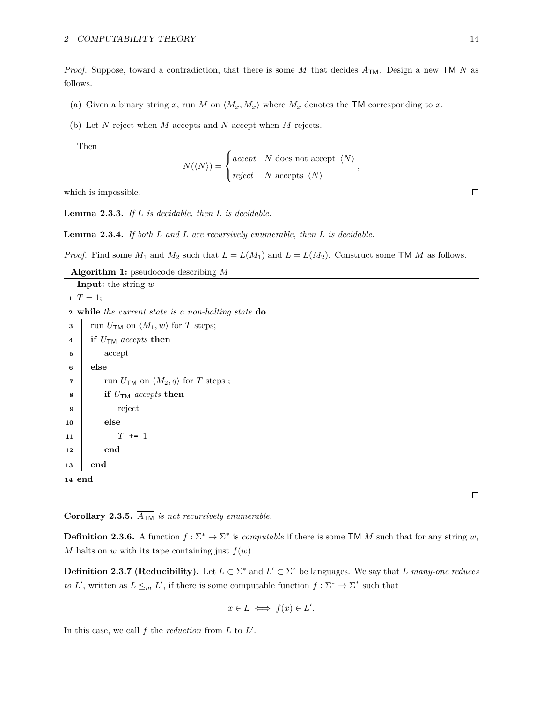*Proof.* Suppose, toward a contradiction, that there is some *M* that decides  $A_{TM}$ . Design a new TM *N* as follows.

- (a) Given a binary string x, run M on  $\langle M_x, M_x \rangle$  where  $M_x$  denotes the TM corresponding to x.
- (b) Let *N* reject when *M* accepts and *N* accept when *M* rejects.

Then

**<sup>14</sup> end**

$$
N(\langle N \rangle) = \begin{cases} accept & N \text{ does not accept } \langle N \rangle \\ reject & N \text{ accepts } \langle N \rangle \end{cases},
$$

which is impossible.

**Lemma 2.3.3.** If  $L$  is decidable, then  $\overline{L}$  is decidable.

**Lemma 2.3.4.** If both *L* and  $\overline{L}$  are recursively enumerable, then *L* is decidable.

*Proof.* Find some  $M_1$  and  $M_2$  such that  $L = L(M_1)$  and  $\overline{L} = L(M_2)$ . Construct some TM *M* as follows.

| <b>Algorithm 1:</b> pseudocode describing $M$                                    |  |  |  |  |  |
|----------------------------------------------------------------------------------|--|--|--|--|--|
| <b>Input:</b> the string $w$                                                     |  |  |  |  |  |
| $T = 1;$                                                                         |  |  |  |  |  |
| <b>2</b> while the current state is a non-halting state do                       |  |  |  |  |  |
| run $U_{\mathsf{TM}}$ on $\langle M_1, w \rangle$ for T steps;                   |  |  |  |  |  |
| if $U_{TM}$ accepts then<br>$\overline{4}$                                       |  |  |  |  |  |
| accept<br>5                                                                      |  |  |  |  |  |
| else<br>6                                                                        |  |  |  |  |  |
| run $U_{\mathsf{TM}}$ on $\langle M_2, q \rangle$ for T steps;<br>$\overline{7}$ |  |  |  |  |  |
| if $U_{\text{TM}}$ accepts then<br>8                                             |  |  |  |  |  |
| reject<br>9                                                                      |  |  |  |  |  |
| else<br>$10\,$                                                                   |  |  |  |  |  |
| $T \leftarrow 1$<br>11                                                           |  |  |  |  |  |
| end<br>12                                                                        |  |  |  |  |  |
| end<br>13                                                                        |  |  |  |  |  |

**Corollary 2.3.5.**  $\overline{A_{TM}}$  *is not recursively enumerable.* 

<span id="page-13-0"></span>**Definition 2.3.6.** A function  $f : \Sigma^* \to \Sigma^*$  is *computable* if there is some TM M such that for any string w, *M* halts on *w* with its tape containing just  $f(w)$ .

**Definition 2.3.7 (Reducibility).** Let  $L \subset \Sigma^*$  and  $L' \subset \Sigma^*$  be languages. We say that *L* many-one reduces *to L*', written as  $L \leq_m L'$ , if there is some computable function  $f : \Sigma^* \to \Sigma^*$  such that

$$
x \in L \iff f(x) \in L'.
$$

In this case, we call  $f$  the *reduction* from  $L$  to  $L'$ .

 $\Box$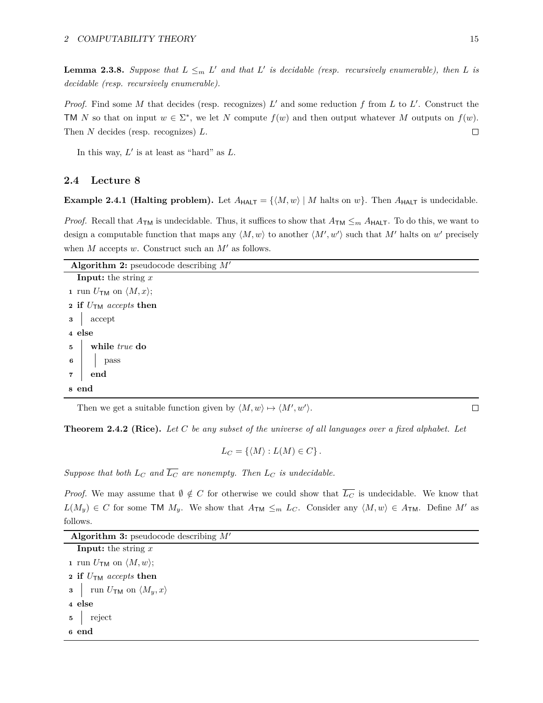**Lemma 2.3.8.** Suppose that  $L \leq_m L'$  and that  $L'$  is decidable (resp. recursively enumerable), then  $L$  is *decidable (resp. recursively enumerable).*

*Proof.* Find some *M* that decides (resp. recognizes)  $L'$  and some reduction  $f$  from  $L$  to  $L'$ . Construct the TM *N* so that on input  $w \in \Sigma^*$ , we let *N* compute  $f(w)$  and then output whatever *M* outputs on  $f(w)$ . Then *N* decides (resp. recognizes) *L*.  $\Box$ 

In this way,  $L'$  is at least as "hard" as  $L$ .

# <span id="page-14-0"></span>**2.4 Lecture 8**

**Example 2.4.1 (Halting problem).** Let  $A_{\text{HALT}} = \{(M, w) | M \text{ halts on } w\}$ . Then  $A_{\text{HALT}}$  is undecidable.

*Proof.* Recall that  $A_{TM}$  is undecidable. Thus, it suffices to show that  $A_{TM} \leq_m A_{HALT}$ . To do this, we want to design a computable function that maps any  $\langle M, w \rangle$  to another  $\langle M', w' \rangle$  such that M' halts on w' precisely when  $M$  accepts  $w$ . Construct such an  $M'$  as follows.

| <b>Algorithm 2:</b> pseudocode describing $M'$      |  |  |  |  |
|-----------------------------------------------------|--|--|--|--|
| <b>Input:</b> the string $x$                        |  |  |  |  |
| 1 run $U_{\mathsf{TM}}$ on $\langle M, x \rangle$ ; |  |  |  |  |
| 2 if $U_{\text{TM}}$ accepts then                   |  |  |  |  |
| $\mathbf{s}$ accept                                 |  |  |  |  |
| 4 else                                              |  |  |  |  |
| $5^{\circ}$<br>while true do                        |  |  |  |  |
| $6^{\circ}$<br>pass                                 |  |  |  |  |
| end<br>$\overline{7}$                               |  |  |  |  |
| 8 end                                               |  |  |  |  |

Then we get a suitable function given by  $\langle M, w \rangle \mapsto \langle M', w' \rangle$ .

**Theorem 2.4.2 (Rice).** *Let C be any subset of the universe of all languages over a fixed alphabet. Let*

$$
L_C = \{ \langle M \rangle : L(M) \in C \}.
$$

*Suppose that both*  $L_C$  *and*  $\overline{L_C}$  *are nonempty. Then*  $L_C$  *is undecidable.* 

*Proof.* We may assume that  $\emptyset \notin C$  for otherwise we could show that  $\overline{L}_C$  is undecidable. We know that  $L(M_y) \in C$  for some TM  $M_y$ . We show that  $A_{\text{TM}} \leq_m L_C$ . Consider any  $\langle M, w \rangle \in A_{\text{TM}}$ . Define M' as follows.

| <b>Algorithm 3:</b> pseudocode describing $M'$ |  |  |  |  |  |
|------------------------------------------------|--|--|--|--|--|
|------------------------------------------------|--|--|--|--|--|

**Input:** the string *x* **1** run  $U_{\text{TM}}$  on  $\langle M, w \rangle$ ; **<sup>2</sup> if** *U*TM *accepts* **then 3** run  $U_{\mathsf{TM}}$  on  $\langle M_y, x \rangle$ **<sup>4</sup> else <sup>5</sup>** reject **<sup>6</sup> end**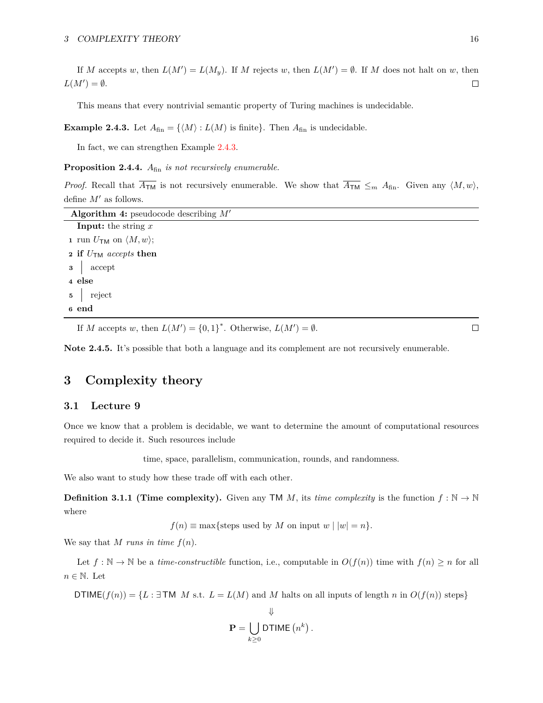If *M* accepts *w*, then  $L(M') = L(M_y)$ . If *M* rejects *w*, then  $L(M') = \emptyset$ . If *M* does not halt on *w*, then  $L(M') = \emptyset$ .  $\Box$ 

This means that every nontrivial semantic property of Turing machines is undecidable.

<span id="page-15-2"></span>**Example 2.4.3.** Let  $A_{fin} = \{ \langle M \rangle : L(M)$  is finite}. Then  $A_{fin}$  is undecidable.

In fact, we can strengthen Example [2.4.3.](#page-15-2)

**Proposition 2.4.4.** *A*fin *is not recursively enumerable.*

*Proof.* Recall that  $\overline{A_{\text{TM}}}$  is not recursively enumerable. We show that  $\overline{A_{\text{TM}}} \leq_m A_{\text{fin}}$ . Given any  $\langle M, w \rangle$ , define  $M'$  as follows.

| Algorithm 4: pseudocode describing $M'$             |  |  |  |  |
|-----------------------------------------------------|--|--|--|--|
| <b>Input:</b> the string $x$                        |  |  |  |  |
| 1 run $U_{\mathsf{TM}}$ on $\langle M, w \rangle$ ; |  |  |  |  |
| 2 if $U_{\text{TM}}$ accepts then                   |  |  |  |  |
| $\mathbf{3}$ accept                                 |  |  |  |  |
| 4 else                                              |  |  |  |  |
| $\mathbf{5}$ reject                                 |  |  |  |  |
| 6 end                                               |  |  |  |  |

If *M* accepts *w*, then  $L(M') = \{0, 1\}^*$ . Otherwise,  $L(M') = \emptyset$ .

**Note 2.4.5.** It's possible that both a language and its complement are not recursively enumerable.

# <span id="page-15-0"></span>**3 Complexity theory**

# <span id="page-15-1"></span>**3.1 Lecture 9**

Once we know that a problem is decidable, we want to determine the amount of computational resources required to decide it. Such resources include

time, space, parallelism, communication, rounds, and randomness*.*

We also want to study how these trade off with each other.

**Definition 3.1.1 (Time complexity).** Given any TM *M*, its *time complexity* is the function  $f : \mathbb{N} \to \mathbb{N}$ where

 $f(n) \equiv \max{\{\text{steps used by } M \text{ on input } w \mid |w| = n\}}.$ 

We say that *M* runs in time  $f(n)$ .

Let  $f : \mathbb{N} \to \mathbb{N}$  be a *time-constructible* function, i.e., computable in  $O(f(n))$  time with  $f(n) \geq n$  for all  $n \in \mathbb{N}$ . Let

DTIME $(f(n)) = \{L : \exists$ TM *M* s.t.  $L = L(M)$  and *M* halts on all inputs of length *n* in  $O(f(n))$  steps}

$$
\mathbf{P} = \bigcup_{k \geq 0} \mathsf{DTIME}\left(n^k\right).
$$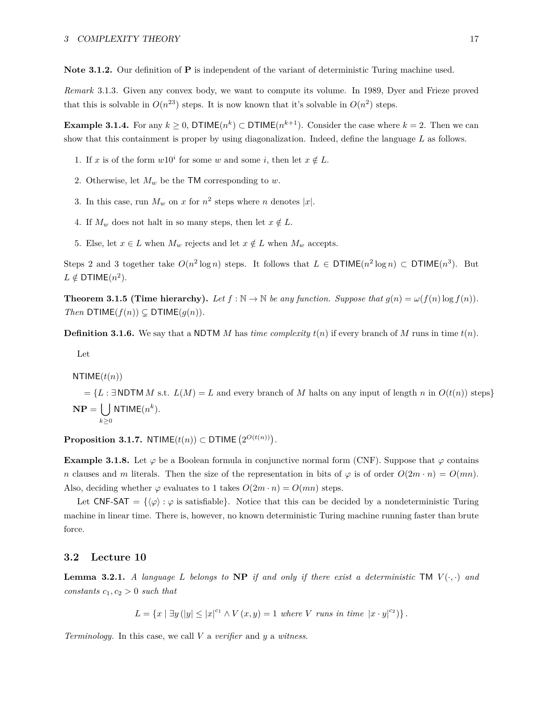**Note 3.1.2.** Our definition of **P** is independent of the variant of deterministic Turing machine used.

*Remark* 3.1.3*.* Given any convex body, we want to compute its volume. In 1989, Dyer and Frieze proved that this is solvable in  $O(n^{23})$  steps. It is now known that it's solvable in  $O(n^2)$  steps.

**Example 3.1.4.** For any  $k \geq 0$ , DTIME $(n^k) \subset$  DTIME $(n^{k+1})$ . Consider the case where  $k = 2$ . Then we can show that this containment is proper by using diagonalization. Indeed, define the language *L* as follows.

- 1. If *x* is of the form  $w10^i$  for some *w* and some *i*, then let  $x \notin L$ .
- 2. Otherwise, let  $M_w$  be the TM corresponding to  $w$ .
- 3. In this case, run  $M_w$  on  $x$  for  $n^2$  steps where  $n$  denotes  $|x|$ .
- 4. If  $M_w$  does not halt in so many steps, then let  $x \notin L$ .
- 5. Else, let  $x \in L$  when  $M_w$  rejects and let  $x \notin L$  when  $M_w$  accepts.

Steps 2 and 3 together take  $O(n^2 \log n)$  steps. It follows that  $L \in \text{DTIME}(n^2 \log n) \subset \text{DTIME}(n^3)$ . But  $L \notin \mathsf{DTIME}(n^2)$ .

**Theorem 3.1.5 (Time hierarchy).** Let  $f : \mathbb{N} \to \mathbb{N}$  be any function. Suppose that  $g(n) = \omega(f(n) \log f(n))$ . *Then*  $DTIME(f(n)) \subsetneq DTIME(g(n)).$ 

**Definition 3.1.6.** We say that a NDTM *M* has *time complexity*  $t(n)$  if every branch of *M* runs in time  $t(n)$ .

Let

$$
NTIME(t(n))
$$

 $= \{L : \exists \text{NDTM } M \text{ s.t. } L(M) = L \text{ and every branch of } M \text{ halts on any input of length } n \text{ in } O(t(n)) \text{ steps}\}$  $\mathbf{NP} = \begin{pmatrix} \ \ \end{pmatrix}$ *k*≥0  $NTIME(n^k)$ .

 $\textbf{Proposition 3.1.7.}$   $\text{NTIME}(t(n)) \subset \textbf{DTIME}(2^{O(t(n))})$ .

**Example 3.1.8.** Let  $\varphi$  be a Boolean formula in conjunctive normal form (CNF). Suppose that  $\varphi$  contains *n* clauses and *m* literals. Then the size of the representation in bits of  $\varphi$  is of order  $O(2m \cdot n) = O(mn)$ . Also, deciding whether  $\varphi$  evaluates to 1 takes  $O(2m \cdot n) = O(mn)$  steps.

Let CNF-SAT =  $\{\langle \varphi \rangle : \varphi$  is satisfiable}. Notice that this can be decided by a nondeterministic Turing machine in linear time. There is, however, no known deterministic Turing machine running faster than brute force.

# <span id="page-16-0"></span>**3.2 Lecture 10**

**Lemma 3.2.1.** *A language L belongs to* **NP** *if and only if there exist a deterministic*  $TM$   $V(\cdot, \cdot)$  *and constants*  $c_1, c_2 > 0$  *such that* 

$$
L = \{x \mid \exists y \left( |y| \le |x|^{c_1} \land V(x, y) = 1 \text{ where } V \text{ runs in time } |x \cdot y|^{c_2} \} \}.
$$

*Terminology.* In this case, we call *V* a *verifier* and *y* a *witness*.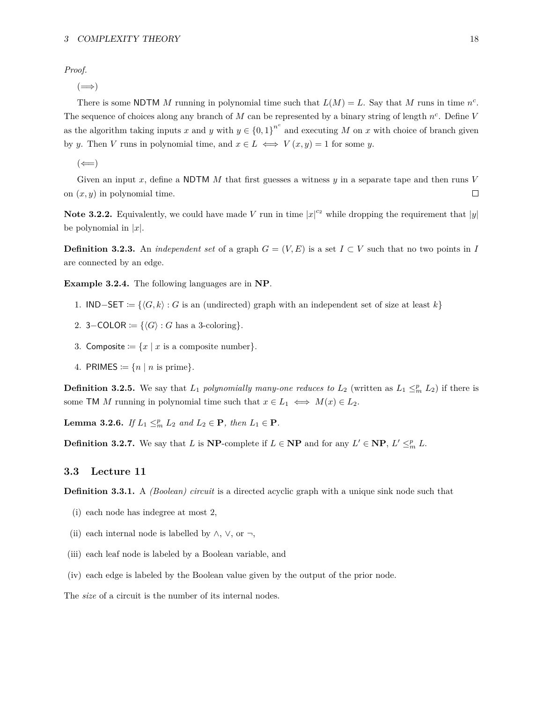*Proof.*

 $(\Longrightarrow)$ 

There is some NDTM *M* running in polynomial time such that  $L(M) = L$ . Say that *M* runs in time  $n<sup>c</sup>$ . The sequence of choices along any branch of *M* can be represented by a binary string of length *n c* . Define *V* as the algorithm taking inputs *x* and *y* with  $y \in \{0,1\}^{n^c}$  and executing *M* on *x* with choice of branch given by *y*. Then *V* runs in polynomial time, and  $x \in L \iff V(x, y) = 1$  for some *y*.

 $(\Leftarrow)$ 

Given an input *x*, define a NDTM *M* that first guesses a witness *y* in a separate tape and then runs *V*  $\Box$ on (*x, y*) in polynomial time.

**Note 3.2.2.** Equivalently, we could have made *V* run in time  $|x|^{c_2}$  while dropping the requirement that  $|y|$ be polynomial in  $|x|$ .

**Definition 3.2.3.** An *independent set* of a graph  $G = (V, E)$  is a set  $I \subset V$  such that no two points in *I* are connected by an edge.

**Example 3.2.4.** The following languages are in **NP**.

- 1. **IND**−SET :=  $\{G, k\}$  : *G* is an (undirected) graph with an independent set of size at least *k*}
- 2. 3–COLOR  $:= \{ \langle G \rangle : G \text{ has a 3-coloring} \}.$
- 3. Composite  $:= \{x \mid x \text{ is a composite number}\}.$
- 4. PRIMES  $:= \{n \mid n \text{ is prime}\}.$

**Definition 3.2.5.** We say that  $L_1$  *polynomially many-one reduces to*  $L_2$  (written as  $L_1 \leq^p_m L_2$ ) if there is some TM *M* running in polynomial time such that  $x \in L_1 \iff M(x) \in L_2$ .

**Lemma 3.2.6.** *If*  $L_1 \leq^p_m L_2$  *and*  $L_2 \in \mathbf{P}$ *, then*  $L_1 \in \mathbf{P}$ *.* 

**Definition 3.2.7.** We say that *L* is **NP**-complete if  $L \in \mathbf{NP}$  and for any  $L' \in \mathbf{NP}$ ,  $L' \leq^p_m L$ .

### <span id="page-17-0"></span>**3.3 Lecture 11**

**Definition 3.3.1.** A *(Boolean) circuit* is a directed acyclic graph with a unique sink node such that

- (i) each node has indegree at most 2,
- (ii) each internal node is labelled by  $\wedge$ ,  $\vee$ , or  $\neg$ ,
- (iii) each leaf node is labeled by a Boolean variable, and
- (iv) each edge is labeled by the Boolean value given by the output of the prior node.

The *size* of a circuit is the number of its internal nodes.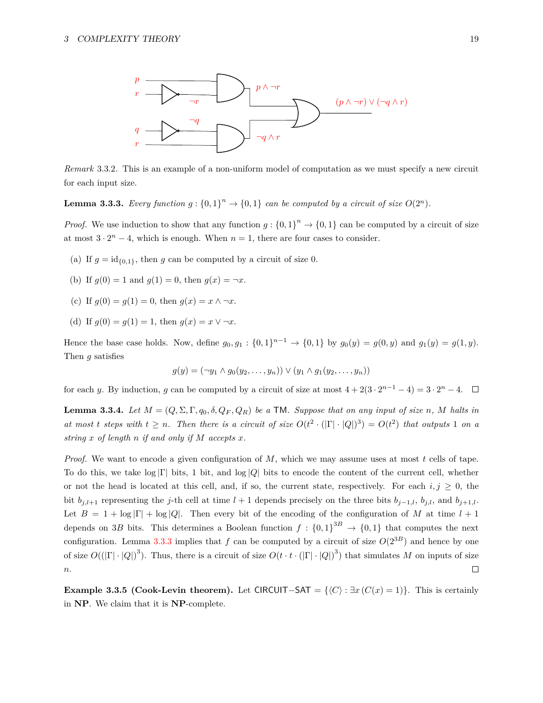

*Remark* 3.3.2*.* This is an example of a non-uniform model of computation as we must specify a new circuit for each input size.

<span id="page-18-0"></span>**Lemma 3.3.3.** *Every function*  $g: \{0,1\}^n \to \{0,1\}$  *can be computed by a circuit of size*  $O(2^n)$ *.* 

*Proof.* We use induction to show that any function  $g: \{0,1\}^n \to \{0,1\}$  can be computed by a circuit of size at most  $3 \cdot 2^n - 4$ , which is enough. When  $n = 1$ , there are four cases to consider.

- (a) If  $g = id_{\{0,1\}}$ , then g can be computed by a circuit of size 0.
- (b) If  $q(0) = 1$  and  $q(1) = 0$ , then  $q(x) = \neg x$ .
- (c) If  $g(0) = g(1) = 0$ , then  $g(x) = x \land \neg x$ .
- (d) If  $g(0) = g(1) = 1$ , then  $g(x) = x \vee \neg x$ .

Hence the base case holds. Now, define  $g_0, g_1 : \{0, 1\}^{n-1} \to \{0, 1\}$  by  $g_0(y) = g(0, y)$  and  $g_1(y) = g(1, y)$ . Then *g* satisfies

$$
g(y) = (\neg y_1 \land g_0(y_2, \dots, y_n)) \lor (y_1 \land g_1(y_2, \dots, y_n))
$$

for each *y*. By induction, *g* can be computed by a circuit of size at most  $4 + 2(3 \cdot 2^{n-1} - 4) = 3 \cdot 2^n - 4$ .

<span id="page-18-1"></span>**Lemma 3.3.4.** Let  $M = (Q, \Sigma, \Gamma, q_0, \delta, Q_F, Q_R)$  be a TM. Suppose that on any input of size *n*, *M* halts in *at most t steps with*  $t \geq n$ . Then there is a circuit of size  $O(t^2 \cdot (|\Gamma| \cdot |Q|)^3) = O(t^2)$  that outputs 1 on a *string x of length n if and only if M accepts x.*

*Proof.* We want to encode a given configuration of *M*, which we may assume uses at most *t* cells of tape. To do this, we take log |Γ| bits, 1 bit, and log |*Q*| bits to encode the content of the current cell, whether or not the head is located at this cell, and, if so, the current state, respectively. For each  $i, j \geq 0$ , the bit  $b_{j,l+1}$  representing the *j*-th cell at time  $l+1$  depends precisely on the three bits  $b_{j-1,l}$ ,  $b_{j,l}$ , and  $b_{j+1,l}$ . Let  $B = 1 + \log |\Gamma| + \log |Q|$ . Then every bit of the encoding of the configuration of M at time  $l + 1$ depends on 3*B* bits. This determines a Boolean function  $f: \{0,1\}^{3B} \to \{0,1\}$  that computes the next configuration. Lemma [3.3.3](#page-18-0) implies that *f* can be computed by a circuit of size  $O(2^{3B})$  and hence by one of size  $O((|\Gamma| \cdot |Q|)^3)$ . Thus, there is a circuit of size  $O(t \cdot t \cdot (|\Gamma| \cdot |Q|)^3)$  that simulates *M* on inputs of size *n*.  $\Box$ 

**Example 3.3.5 (Cook-Levin theorem).** Let CIRCUIT–SAT =  $\{(C) : \exists x (C(x) = 1)\}\)$ . This is certainly in **NP**. We claim that it is **NP**-complete.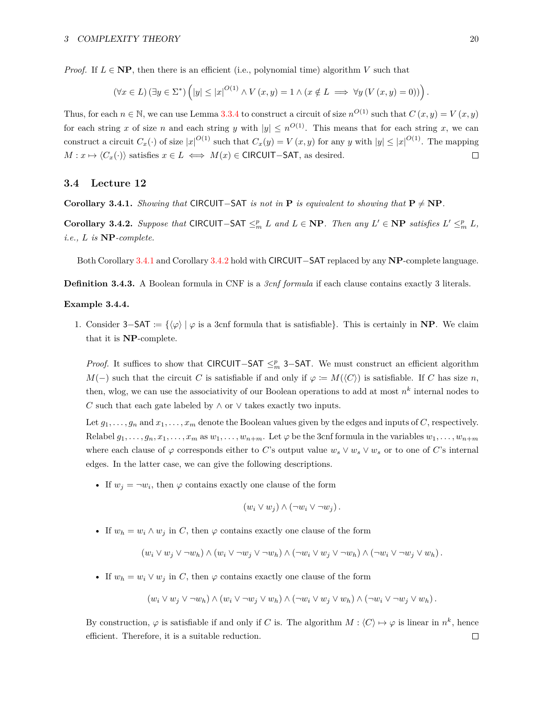*Proof.* If  $L \in \mathbf{NP}$ , then there is an efficient (i.e., polynomial time) algorithm *V* such that

$$
(\forall x \in L) (\exists y \in \Sigma^*) \left( |y| \le |x|^{O(1)} \land V(x, y) = 1 \land (x \notin L \implies \forall y (V(x, y) = 0)) \right).
$$

Thus, for each  $n \in \mathbb{N}$ , we can use Lemma [3.3.4](#page-18-1) to construct a circuit of size  $n^{O(1)}$  such that  $C(x, y) = V(x, y)$ for each string *x* of size *n* and each string *y* with  $|y| \leq n^{O(1)}$ . This means that for each string *x*, we can construct a circuit  $C_x(\cdot)$  of size  $|x|^{O(1)}$  such that  $C_x(y) = V(x, y)$  for any *y* with  $|y| \leq |x|^{O(1)}$ . The mapping  $M: x \mapsto \langle C_x(\cdot) \rangle$  satisfies  $x \in L \iff M(x) \in \text{CIRCUIT}-\text{SAT},$  as desired.  $\Box$ 

## <span id="page-19-0"></span>**3.4 Lecture 12**

<span id="page-19-1"></span>**Corollary 3.4.1.** *Showing that* CIRCUIT−SAT *is not in* **P** *is equivalent to showing that*  $P \neq NP$ *.* 

<span id="page-19-2"></span>**Corollary 3.4.2.** Suppose that CIRCUIT−SAT  $\leq^p_m L$  and  $L \in \mathbf{NP}$ . Then any  $L' \in \mathbf{NP}$  satisfies  $L' \leq^p_m L$ , *i.e., L is* **NP***-complete.*

Both Corollary [3.4.1](#page-19-1) and Corollary [3.4.2](#page-19-2) hold with CIRCUIT−SAT replaced by any **NP**-complete language.

**Definition 3.4.3.** A Boolean formula in CNF is a *3cnf formula* if each clause contains exactly 3 literals.

#### **Example 3.4.4.**

1. Consider 3−SAT := {h*ϕ*i | *ϕ* is a 3cnf formula that is satisfiable}. This is certainly in **NP**. We claim that it is **NP**-complete.

*Proof.* It suffices to show that CIRCUIT−SAT ≤<sup>*p*</sup><sub>m</sub> 3−SAT. We must construct an efficient algorithm *M*(−) such that the circuit *C* is satisfiable if and only if  $\varphi := M(\langle C \rangle)$  is satisfiable. If *C* has size *n*, then, wlog, we can use the associativity of our Boolean operations to add at most  $n^k$  internal nodes to *C* such that each gate labeled by  $\land$  or  $\lor$  takes exactly two inputs.

Let  $g_1, \ldots, g_n$  and  $x_1, \ldots, x_m$  denote the Boolean values given by the edges and inputs of *C*, respectively. Relabel  $g_1, \ldots, g_n, x_1, \ldots, x_m$  as  $w_1, \ldots, w_{n+m}$ . Let  $\varphi$  be the 3cnf formula in the variables  $w_1, \ldots, w_{n+m}$ where each clause of  $\varphi$  corresponds either to *C*'s output value  $w_s \vee w_s \vee w_s$  or to one of *C*'s internal edges. In the latter case, we can give the following descriptions.

• If  $w_j = \neg w_i$ , then  $\varphi$  contains exactly one clause of the form

$$
(w_i \vee w_j) \wedge (\neg w_i \vee \neg w_j).
$$

• If  $w_h = w_i \wedge w_j$  in *C*, then  $\varphi$  contains exactly one clause of the form

$$
(w_i \vee w_j \vee \neg w_h) \wedge (w_i \vee \neg w_j \vee \neg w_h) \wedge (\neg w_i \vee w_j \vee \neg w_h) \wedge (\neg w_i \vee \neg w_j \vee w_h).
$$

• If  $w_h = w_i \vee w_j$  in *C*, then  $\varphi$  contains exactly one clause of the form

$$
(w_i \vee w_j \vee \neg w_h) \wedge (w_i \vee \neg w_j \vee w_h) \wedge (\neg w_i \vee w_j \vee w_h) \wedge (\neg w_i \vee \neg w_j \vee w_h).
$$

By construction,  $\varphi$  is satisfiable if and only if *C* is. The algorithm  $M : \langle C \rangle \mapsto \varphi$  is linear in  $n^k$ , hence efficient. Therefore, it is a suitable reduction. $\Box$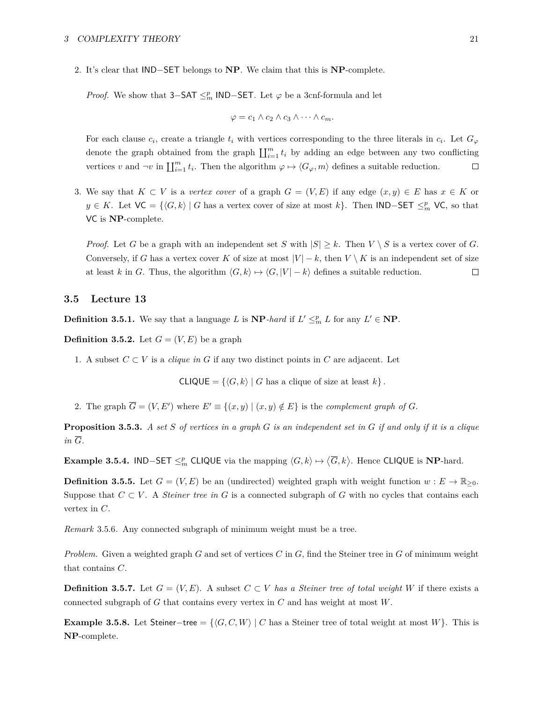2. It's clear that IND−SET belongs to **NP**. We claim that this is **NP**-complete.

*Proof.* We show that  $3-SAT \leq_m^p \text{IND-SET}$ . Let  $\varphi$  be a 3cnf-formula and let

$$
\varphi = c_1 \wedge c_2 \wedge c_3 \wedge \cdots \wedge c_m.
$$

For each clause  $c_i$ , create a triangle  $t_i$  with vertices corresponding to the three literals in  $c_i$ . Let  $G_\varphi$ denote the graph obtained from the graph  $\prod_{i=1}^m t_i$  by adding an edge between any two conflicting vertices *v* and  $\neg v$  in  $\prod_{i=1}^{m} t_i$ . Then the algorithm  $\varphi \mapsto \langle G_{\varphi}, m \rangle$  defines a suitable reduction.  $\Box$ 

3. We say that  $K \subset V$  is a *vertex cover* of a graph  $G = (V, E)$  if any edge  $(x, y) \in E$  has  $x \in K$  or *y* ∈ *K*. Let  $\forall C = \{ \langle G, k \rangle \mid G$  has a vertex cover of size at most *k* $\}$ . Then IND−SET  $\leq^p_m \forall C$ , so that VC is **NP**-complete.

*Proof.* Let *G* be a graph with an independent set *S* with  $|S| \geq k$ . Then  $V \setminus S$  is a vertex cover of *G*. Conversely, if *G* has a vertex cover *K* of size at most  $|V| - k$ , then  $V \setminus K$  is an independent set of size at least *k* in *G*. Thus, the algorithm  $\langle G, k \rangle \mapsto \langle G, |V| - k \rangle$  defines a suitable reduction.  $\Box$ 

#### <span id="page-20-0"></span>**3.5 Lecture 13**

**Definition 3.5.1.** We say that a language *L* is  $\mathbf{NP}$ *-hard* if  $L' \leq^p_m L$  for any  $L' \in \mathbf{NP}$ .

**Definition 3.5.2.** Let  $G = (V, E)$  be a graph

1. A subset  $C \subset V$  is a *clique in*  $G$  if any two distinct points in  $C$  are adjacent. Let

 $CLIQUE = \{\langle G, k \rangle \mid G \text{ has a clique of size at least } k\}.$ 

2. The graph  $\overline{G} = (V, E')$  where  $E' \equiv \{(x, y) | (x, y) \notin E\}$  is the *complement graph of G*.

**Proposition 3.5.3.** *A set S of vertices in a graph G is an independent set in G if and only if it is a clique*  $in \overline{G}$ *.* 

**Example 3.5.4.** IND−SET  $\leq^p_m$  CLIQUE via the mapping  $\langle G, k \rangle \mapsto \langle \overline{G}, k \rangle$ . Hence CLIQUE is **NP**-hard.

**Definition 3.5.5.** Let  $G = (V, E)$  be an (undirected) weighted graph with weight function  $w : E \to \mathbb{R}_{>0}$ . Suppose that  $C \subset V$ . A *Steiner tree in G* is a connected subgraph of *G* with no cycles that contains each vertex in *C*.

*Remark* 3.5.6*.* Any connected subgraph of minimum weight must be a tree.

*Problem.* Given a weighted graph *G* and set of vertices *C* in *G*, find the Steiner tree in *G* of minimum weight that contains *C*.

**Definition 3.5.7.** Let  $G = (V, E)$ . A subset  $C \subset V$  *has a Steiner tree of total weight W* if there exists a connected subgraph of *G* that contains every vertex in *C* and has weight at most *W*.

**Example 3.5.8.** Let Steiner−tree =  $\{G, C, W\}$  | *C* has a Steiner tree of total weight at most *W*}. This is **NP**-complete.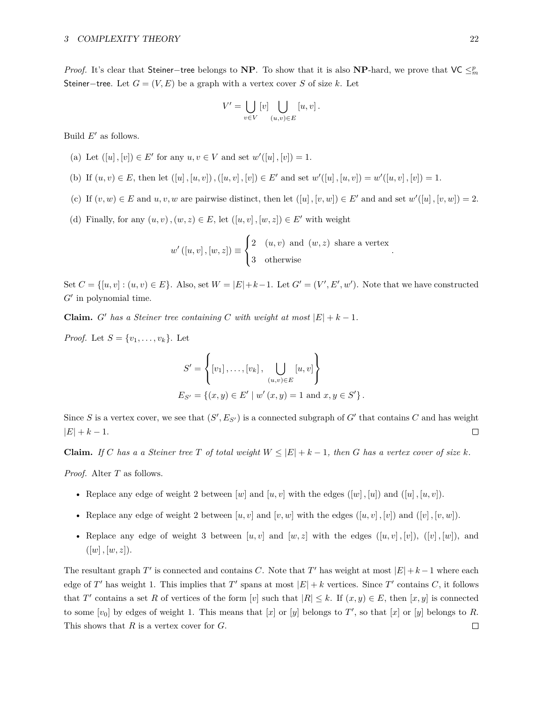*Proof.* It's clear that Steiner−tree belongs to **NP**. To show that it is also **NP**-hard, we prove that VC ≤<sup>*p*</sup><sub>*m*</sub> Steiner–tree. Let  $G = (V, E)$  be a graph with a vertex cover *S* of size *k*. Let

$$
V' = \bigcup_{v \in V} [v] \bigcup_{(u,v) \in E} [u, v].
$$

Build  $E'$  as follows.

- (a) Let  $([u], [v]) \in E'$  for any  $u, v \in V$  and set  $w'([u], [v]) = 1$ .
- (b) If  $(u, v) \in E$ , then let  $([u], [u, v]), ([u, v], [v]) \in E'$  and set  $w'([u], [u, v]) = w'([u, v], [v]) = 1$ .
- (c) If  $(v, w) \in E$  and  $u, v, w$  are pairwise distinct, then let  $([u], [v, w]) \in E'$  and and set  $w'([u], [v, w]) = 2$ .
- (d) Finally, for any  $(u, v)$ ,  $(w, z) \in E$ , let  $([u, v]$ ,  $[w, z]) \in E'$  with weight

$$
w'([u, v], [w, z]) \equiv \begin{cases} 2 & (u, v) \text{ and } (w, z) \text{ share a vertex} \\ 3 & \text{otherwise} \end{cases}
$$

*.*

Set  $C = \{ [u, v] : (u, v) \in E \}$ . Also, set  $W = |E| + k - 1$ . Let  $G' = (V', E', w')$ . Note that we have constructed  $G'$  in polynomial time.

**Claim.** *G*<sup> $\prime$ </sup> *has a Steiner tree containing C with weight at most*  $|E| + k - 1$ *.* 

*Proof.* Let  $S = \{v_1, \ldots, v_k\}$ . Let

$$
S' = \left\{ [v_1], \dots, [v_k], \bigcup_{(u,v) \in E} [u, v] \right\}
$$
  

$$
E_{S'} = \left\{ (x, y) \in E' \mid w'(x, y) = 1 \text{ and } x, y \in S' \right\}.
$$

Since *S* is a vertex cover, we see that  $(S', E_{S'})$  is a connected subgraph of  $G'$  that contains  $C$  and has weight  $|E| + k - 1.$  $\Box$ 

**Claim.** *If C has a a Steiner tree T of total weight*  $W \leq |E| + k - 1$ *, then G has a vertex cover of size k*.

*Proof.* Alter *T* as follows.

- Replace any edge of weight 2 between  $[w]$  and  $[u, v]$  with the edges  $([w], [u])$  and  $([u], [u, v])$ .
- Replace any edge of weight 2 between  $[u, v]$  and  $[v, w]$  with the edges  $([u, v], [v])$  and  $([v], [v, w])$ .
- Replace any edge of weight 3 between  $[u, v]$  and  $[w, z]$  with the edges  $([u, v], [v]), ([v], [w])$ , and  $([w], [w, z]).$

The resultant graph *T*' is connected and contains *C*. Note that *T*' has weight at most  $|E| + k - 1$  where each edge of *T*<sup> $\prime$ </sup> has weight 1. This implies that *T*<sup> $\prime$ </sup> spans at most  $|E| + k$  vertices. Since *T*<sup> $\prime$ </sup> contains *C*, it follows that *T'* contains a set *R* of vertices of the form [*v*] such that  $|R| \leq k$ . If  $(x, y) \in E$ , then [*x, y*] is connected to some  $[v_0]$  by edges of weight 1. This means that  $[x]$  or  $[y]$  belongs to  $T'$ , so that  $[x]$  or  $[y]$  belongs to  $R$ . This shows that *R* is a vertex cover for *G*. $\Box$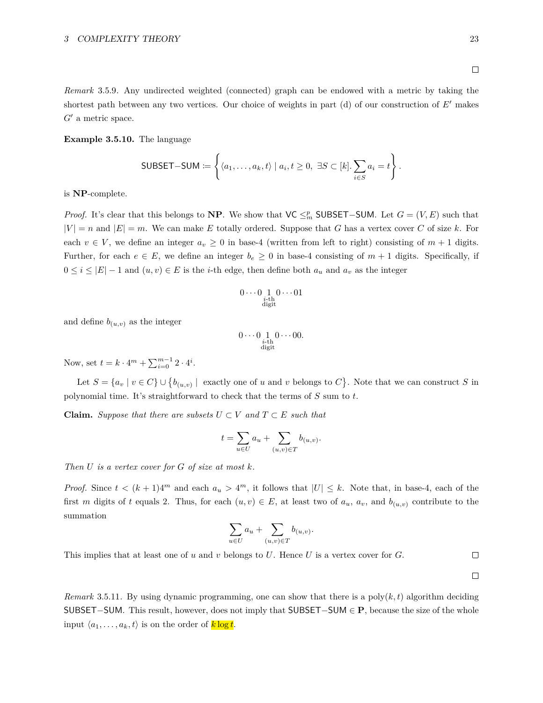#### 3 COMPLEXITY THEORY 23

*Remark* 3.5.9*.* Any undirected weighted (connected) graph can be endowed with a metric by taking the shortest path between any two vertices. Our choice of weights in part  $(d)$  of our construction of  $E'$  makes  $G'$  a metric space.

#### **Example 3.5.10.** The language

SUBSET-SUM := 
$$
\left\{ \langle a_1, \ldots, a_k, t \rangle \mid a_i, t \geq 0, \exists S \subset [k]. \sum_{i \in S} a_i = t \right\}.
$$

is **NP**-complete.

*Proof.* It's clear that this belongs to **NP**. We show that  $\mathsf{VC} \leq^p_m \mathsf{SUBSET}-\mathsf{SUM}$ . Let  $G = (V, E)$  such that  $|V| = n$  and  $|E| = m$ . We can make *E* totally ordered. Suppose that *G* has a vertex cover *C* of size *k*. For each  $v \in V$ , we define an integer  $a_v \geq 0$  in base-4 (written from left to right) consisting of  $m + 1$  digits. Further, for each  $e \in E$ , we define an integer  $b_e \geq 0$  in base-4 consisting of  $m + 1$  digits. Specifically, if  $0 \leq i \leq |E|-1$  and  $(u, v) \in E$  is the *i*-th edge, then define both  $a_u$  and  $a_v$  as the integer

$$
0 \cdots 0 \underbrace{1}_{\substack{i \text{-th} \\ \text{digit}}} 0 \cdots 01
$$

and define  $b_{(u,v)}$  as the integer

$$
0\cdots 0\underset{\substack{i\text{-th}\\ \text{digit}}}10\cdots 00.
$$

Now, set  $t = k \cdot 4^m + \sum_{i=0}^{m-1} 2 \cdot 4^i$ .

Let  $S = \{a_v \mid v \in C\} \cup \{b_{(u,v)} \mid \text{ exactly one of } u \text{ and } v \text{ belongs to } C\}$ . Note that we can construct *S* in polynomial time. It's straightforward to check that the terms of *S* sum to *t*.

**Claim.** Suppose that there are subsets  $U \subset V$  and  $T \subset E$  such that

$$
t = \sum_{u \in U} a_u + \sum_{(u,v) \in T} b_{(u,v)}.
$$

*Then U is a vertex cover for G of size at most k.*

*Proof.* Since  $t < (k+1)4^m$  and each  $a_u > 4^m$ , it follows that  $|U| \leq k$ . Note that, in base-4, each of the first *m* digits of *t* equals 2. Thus, for each  $(u, v) \in E$ , at least two of  $a_u$ ,  $a_v$ , and  $b_{(u,v)}$  contribute to the summation

$$
\sum_{u\in U} a_u + \sum_{(u,v)\in T} b_{(u,v)}.
$$

This implies that at least one of *u* and *v* belongs to *U*. Hence *U* is a vertex cover for *G*.

 $\Box$  $\Box$ 

*Remark* 3.5.11. By using dynamic programming, one can show that there is a poly $(k, t)$  algorithm deciding SUBSET−SUM. This result, however, does not imply that SUBSET−SUM ∈ **P**, because the size of the whole input  $\langle a_1, \ldots, a_k, t \rangle$  is on the order of  $k \log t$ .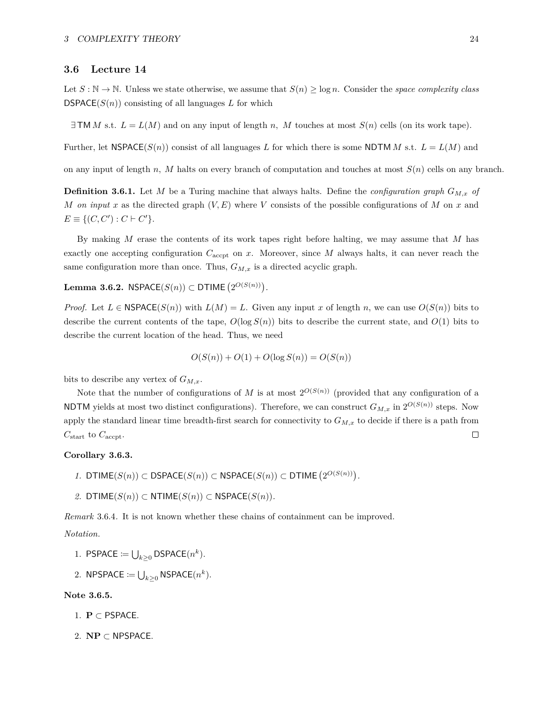#### <span id="page-23-0"></span>**3.6 Lecture 14**

Let  $S : \mathbb{N} \to \mathbb{N}$ . Unless we state otherwise, we assume that  $S(n) \geq \log n$ . Consider the *space complexity class* **DSPACE** $(S(n))$  consisting of all languages *L* for which

 $\exists$  **TM***M* s.t.  $L = L(M)$  and on any input of length *n, M* touches at most  $S(n)$  cells (on its work tape).

Further, let  $NSPACE(S(n))$  consist of all languages *L* for which there is some NDTM *M* s.t.  $L = L(M)$  and

on any input of length *n, M* halts on every branch of computation and touches at most *S*(*n*) cells on any branch*.*

**Definition 3.6.1.** Let *M* be a Turing machine that always halts. Define the *configuration graph GM,x of M on input x* as the directed graph  $(V, E)$  where *V* consists of the possible configurations of *M* on *x* and  $E \equiv \{ (C, C') : C \vdash C' \}.$ 

By making *M* erase the contents of its work tapes right before halting, we may assume that *M* has exactly one accepting configuration  $C_{\text{accept}}$  on  $x$ . Moreover, since  $M$  always halts, it can never reach the same configuration more than once. Thus,  $G_{M,x}$  is a directed acyclic graph.

 $\textbf{Lemma 3.6.2. NSPACE}(S(n))\subset \textbf{DTIME}\left(2^{O(S(n))}\right).$ 

*Proof.* Let  $L \in \text{NSPACE}(S(n))$  with  $L(M) = L$ . Given any input *x* of length *n*, we can use  $O(S(n))$  bits to describe the current contents of the tape,  $O(\log S(n))$  bits to describe the current state, and  $O(1)$  bits to describe the current location of the head. Thus, we need

$$
O(S(n)) + O(1) + O(\log S(n)) = O(S(n))
$$

bits to describe any vertex of  $G_{M,x}$ .

Note that the number of configurations of *M* is at most  $2^{O(S(n))}$  (provided that any configuration of a NDTM yields at most two distinct configurations). Therefore, we can construct  $G_{M,x}$  in  $2^{O(S(n))}$  steps. Now apply the standard linear time breadth-first search for connectivity to  $G_{M,x}$  to decide if there is a path from *C*start to *C*accpt.  $\Box$ 

### **Corollary 3.6.3.**

- *1.* DTIME(*S*(*n*)) ⊂ DSPACE(*S*(*n*)) ⊂ NSPACE(*S*(*n*)) ⊂ DTIME  $(2^{O(S(n))})$ .
- *2.* DTIME(*S*(*n*)) ⊂ NTIME(*S*(*n*)) ⊂ NSPACE(*S*(*n*)).

*Remark* 3.6.4*.* It is not known whether these chains of containment can be improved.

# *Notation.*

- 1. PSPACE  $:= \bigcup_{k \geq 0} \mathsf{DSPACE}(n^k)$ .
- 2. NPSPACE  $:= \bigcup_{k \geq 0}$  NSPACE $(n^k)$ .

#### **Note 3.6.5.**

- 1. **P** ⊂ PSPACE.
- 2. **NP** ⊂ NPSPACE.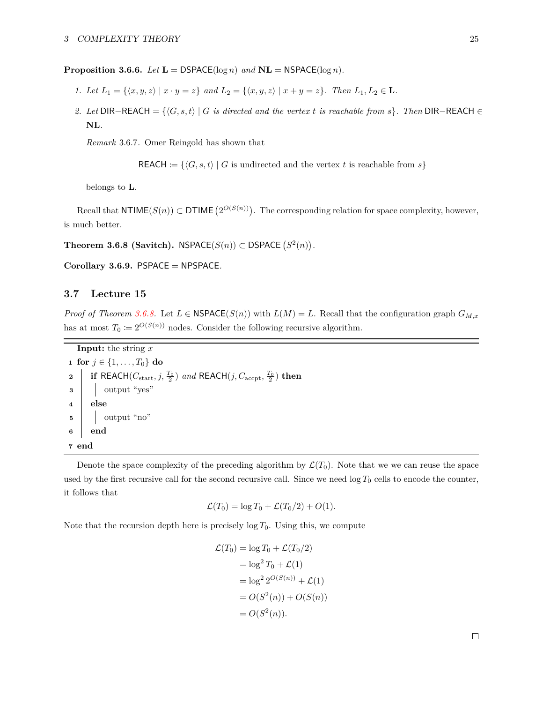**Proposition 3.6.6.** *Let*  $L = DSPACE(\log n)$  *and*  $NL = NSPACE(\log n)$ *.* 

- *1. Let*  $L_1 = \{(x, y, z) | x \cdot y = z\}$  *and*  $L_2 = \{(x, y, z) | x + y = z\}$ *. Then*  $L_1, L_2 \in \mathbf{L}$ *.*
- *2. Let* DIR−REACH = { $\langle G, s, t \rangle$  |  $G$  *is directed and the vertex*  $t$  *is reachable from*  $s$ }*. Then* DIR−REACH ∈ **NL***.*

*Remark* 3.6.7*.* Omer Reingold has shown that

REACH :=  $\{\langle G, s, t \rangle \mid G \text{ is undirected and the vertex } t \text{ is reachable from } s\}$ 

belongs to **L**.

Recall that  $\textsf{NTIME}(S(n)) \subset \textsf{DTIME}(2^{O(S(n))})$ . The corresponding relation for space complexity, however, is much better.

<span id="page-24-1"></span>Theorem 3.6.8 (Savitch).  $NSPACE(S(n)) \subset DSPACE(S^2(n))$ .

**Corollary 3.6.9.** PSPACE = NPSPACE*.*

# <span id="page-24-0"></span>**3.7 Lecture 15**

*Proof of Theorem [3.6.8.](#page-24-1)* Let  $L \in \text{NSPACE}(S(n))$  with  $L(M) = L$ . Recall that the configuration graph  $G_{M,x}$ has at most  $T_0 := 2^{O(S(n))}$  nodes. Consider the following recursive algorithm.

**Input:** the string *x* **1 for**  $j \in \{1, ..., T_0\}$  **do 2 | if** REACH( $C_{\text{start}}, j, \frac{T_0}{2}$ ) and REACH( $j, C_{\text{accept}}, \frac{T_0}{2}$ ) then **3** output "yes" **4 else**  $\mathbf{5}$  | | output "no" **6 end 7 end**

Denote the space complexity of the preceding algorithm by  $\mathcal{L}(T_0)$ . Note that we we can reuse the space used by the first recursive call for the second recursive call. Since we need  $\log T_0$  cells to encode the counter, it follows that

$$
\mathcal{L}(T_0) = \log T_0 + \mathcal{L}(T_0/2) + O(1).
$$

Note that the recursion depth here is precisely  $\log T_0$ . Using this, we compute

$$
\mathcal{L}(T_0) = \log T_0 + \mathcal{L}(T_0/2)
$$
  
=  $\log^2 T_0 + \mathcal{L}(1)$   
=  $\log^2 2^{O(S(n))} + \mathcal{L}(1)$   
=  $O(S^2(n)) + O(S(n))$   
=  $O(S^2(n)).$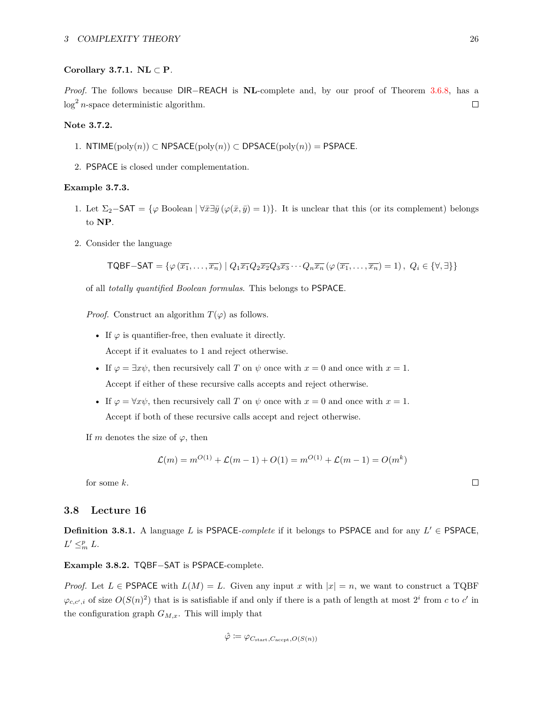#### **Corollary 3.7.1. NL** ⊂ **P***.*

*Proof.* The follows because DIR–REACH is **NL**-complete and, by our proof of Theorem [3.6.8,](#page-24-1) has a  $log<sup>2</sup> n$ -space deterministic algorithm.  $\Box$ 

#### **Note 3.7.2.**

- 1. NTIME(poly(*n*)) ⊂ NPSACE(poly(*n*)) ⊂ DPSACE(poly(*n*)) = PSPACE*.*
- 2. PSPACE is closed under complementation.

#### **Example 3.7.3.**

- 1. Let  $\Sigma_2$ −SAT = { $\varphi$  Boolean  $|\forall \bar{x} \exists \bar{y} (\varphi(\bar{x}, \bar{y}) = 1)$ }. It is unclear that this (or its complement) belongs to **NP**.
- 2. Consider the language

 $\mathsf{TQBF-SAT} = \{ \varphi(\overline{x_1}, \ldots, \overline{x_n}) \mid Q_1 \overline{x_1} Q_2 \overline{x_2} Q_3 \overline{x_3} \cdots Q_n \overline{x_n} (\varphi(\overline{x_1}, \ldots, \overline{x_n}) = 1), Q_i \in \{\forall, \exists\} \}$ 

of all *totally quantified Boolean formulas*. This belongs to PSPACE.

*Proof.* Construct an algorithm  $T(\varphi)$  as follows.

- If  $\varphi$  is quantifier-free, then evaluate it directly. Accept if it evaluates to 1 and reject otherwise.
- If  $\varphi = \exists x \psi$ , then recursively call *T* on  $\psi$  once with  $x = 0$  and once with  $x = 1$ . Accept if either of these recursive calls accepts and reject otherwise.
- If  $\varphi = \forall x \psi$ , then recursively call *T* on  $\psi$  once with  $x = 0$  and once with  $x = 1$ . Accept if both of these recursive calls accept and reject otherwise.

If *m* denotes the size of  $\varphi$ , then

$$
\mathcal{L}(m) = m^{O(1)} + \mathcal{L}(m-1) + O(1) = m^{O(1)} + \mathcal{L}(m-1) = O(m^k)
$$

for some *k*.

### <span id="page-25-0"></span>**3.8 Lecture 16**

**Definition 3.8.1.** A language *L* is PSPACE-*complete* if it belongs to PSPACE and for any  $L' \in PSPACE$ ,  $L' \leq^p_m L$ .

**Example 3.8.2.** TQBF−SAT is PSPACE-complete.

*Proof.* Let  $L \in PSPACE$  with  $L(M) = L$ . Given any input x with  $|x| = n$ , we want to construct a TQBF  $\varphi_{c,c',i}$  of size  $O(S(n)^2)$  that is is satisfiable if and only if there is a path of length at most  $2^i$  from *c* to *c*' in the configuration graph  $G_{M,x}$ . This will imply that

$$
\hat{\varphi} \coloneqq \varphi_{C_{\text{start}}, C_{\text{accept}}, O(S(n))}
$$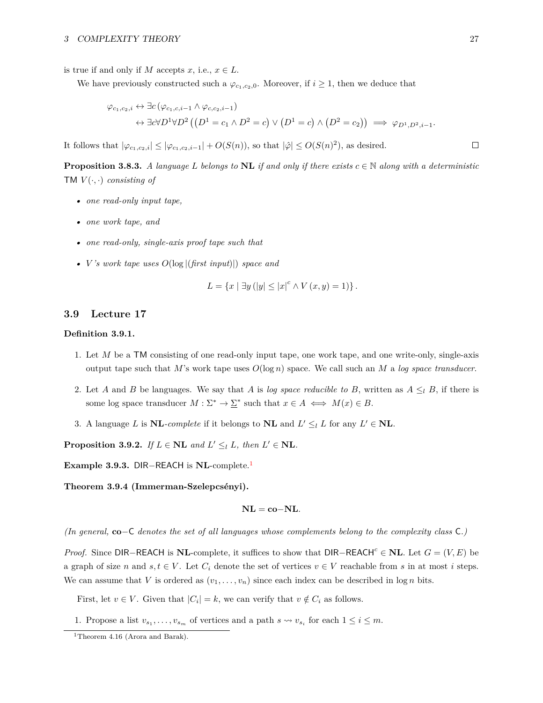is true if and only if *M* accepts *x*, i.e.,  $x \in L$ .

We have previously constructed such a  $\varphi_{c_1,c_2,0}$ . Moreover, if  $i \geq 1$ , then we deduce that

$$
\varphi_{c_1,c_2,i} \leftrightarrow \exists c (\varphi_{c_1,c,i-1} \land \varphi_{c,c_2,i-1})
$$
  

$$
\leftrightarrow \exists c \forall D^1 \forall D^2 ((D^1 = c_1 \land D^2 = c) \lor (D^1 = c) \land (D^2 = c_2)) \implies \varphi_{D^1,D^2,i-1}.
$$

It follows that  $|\varphi_{c_1,c_2,i}| \leq |\varphi_{c_1,c_2,i-1}| + O(S(n))$ , so that  $|\hat{\varphi}| \leq O(S(n)^2)$ , as desired.

**Proposition 3.8.3.** *A language L belongs to* **NL** *if and only if there exists*  $c \in \mathbb{N}$  *along with a deterministic* **TM**  $V(\cdot, \cdot)$  *consisting of* 

- *• one read-only input tape,*
- *• one work tape, and*
- *• one read-only, single-axis proof tape such that*
- *• V 's work tape uses O*(log |(*first input*)|) *space and*

$$
L = \{x \mid \exists y \left( |y| \le |x|^c \land V(x, y) = 1 \right) \}.
$$

# <span id="page-26-0"></span>**3.9 Lecture 17**

#### **Definition 3.9.1.**

- 1. Let *M* be a TM consisting of one read-only input tape, one work tape, and one write-only, single-axis output tape such that *M*'s work tape uses *O*(log *n*) space. We call such an *M* a *log space transducer*.
- 2. Let *A* and *B* be languages. We say that *A* is *log space reducible to B*, written as  $A \leq_l B$ , if there is some log space transducer  $M : \Sigma^* \to \Sigma^*$  such that  $x \in A \iff M(x) \in B$ .
- 3. A language *L* is **NL**-complete if it belongs to **NL** and  $L' \leq_l L$  for any  $L' \in \mathbf{NL}$ .

**Proposition 3.9.2.** *If*  $L \in \mathbb{N}$ **L** *and*  $L' \leq_l L$ *, then*  $L' \in \mathbb{N}$ **L***.* 

**Example 3.9.3.** DIR−REACH is **NL**-complete.[1](#page-26-1)

Theorem 3.9.4 (Immerman-Szelepcsényi).

$$
NL = co-NL.
$$

*(In general,* **co**−C *denotes the set of all languages whose complements belong to the complexity class* C*.)*

*Proof.* Since DIR–REACH is **NL**-complete, it suffices to show that DIR–REACH<sup>c</sup> ∈ **NL**. Let  $G = (V, E)$  be a graph of size *n* and  $s, t \in V$ . Let  $C_i$  denote the set of vertices  $v \in V$  reachable from *s* in at most *i* steps. We can assume that *V* is ordered as  $(v_1, \ldots, v_n)$  since each index can be described in  $\log n$  bits.

First, let  $v \in V$ . Given that  $|C_i| = k$ , we can verify that  $v \notin C_i$  as follows.

1. Propose a list  $v_{s_1}, \ldots, v_{s_m}$  of vertices and a path  $s \leadsto v_{s_i}$  for each  $1 \leq i \leq m$ .

<span id="page-26-1"></span><sup>&</sup>lt;sup>1</sup>Theorem 4.16 (Arora and Barak).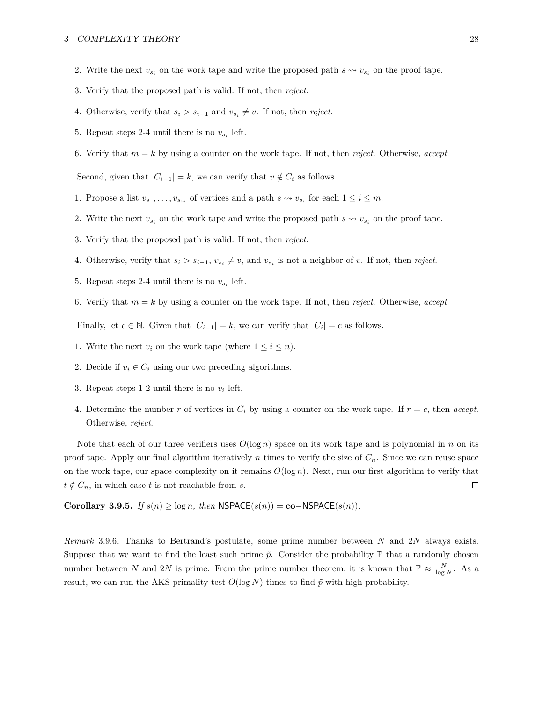- 2. Write the next  $v_{s_i}$  on the work tape and write the proposed path  $s \leadsto v_{s_i}$  on the proof tape.
- 3. Verify that the proposed path is valid. If not, then *reject*.
- 4. Otherwise, verify that  $s_i > s_{i-1}$  and  $v_{s_i} \neq v$ . If not, then *reject*.
- 5. Repeat steps 2-4 until there is no  $v_{s_i}$  left.
- 6. Verify that  $m = k$  by using a counter on the work tape. If not, then *reject*. Otherwise, *accept*.

Second, given that  $|C_{i-1}| = k$ , we can verify that  $v \notin C_i$  as follows.

- 1. Propose a list  $v_{s_1}, \ldots, v_{s_m}$  of vertices and a path  $s \leadsto v_{s_i}$  for each  $1 \leq i \leq m$ .
- 2. Write the next  $v_{s_i}$  on the work tape and write the proposed path  $s \leadsto v_{s_i}$  on the proof tape.
- 3. Verify that the proposed path is valid. If not, then *reject*.
- 4. Otherwise, verify that  $s_i > s_{i-1}$ ,  $v_{s_i} \neq v$ , and  $v_{s_i}$  is not a neighbor of *v*. If not, then *reject*.
- 5. Repeat steps 2-4 until there is no  $v_{s_i}$  left.
- 6. Verify that  $m = k$  by using a counter on the work tape. If not, then *reject*. Otherwise, *accept*.

Finally, let  $c \in \mathbb{N}$ . Given that  $|C_{i-1}| = k$ , we can verify that  $|C_i| = c$  as follows.

- 1. Write the next  $v_i$  on the work tape (where  $1 \leq i \leq n$ ).
- 2. Decide if  $v_i \in C_i$  using our two preceding algorithms.
- 3. Repeat steps  $1-2$  until there is no  $v_i$  left.
- 4. Determine the number  $r$  of vertices in  $C_i$  by using a counter on the work tape. If  $r = c$ , then *accept*. Otherwise, *reject*.

Note that each of our three verifiers uses  $O(\log n)$  space on its work tape and is polynomial in *n* on its proof tape. Apply our final algorithm iteratively *n* times to verify the size of  $C_n$ . Since we can reuse space on the work tape, our space complexity on it remains  $O(\log n)$ . Next, run our first algorithm to verify that  $t \notin C_n$ , in which case *t* is not reachable from *s*.  $\Box$ 

**Corollary 3.9.5.** *If*  $s(n) \geq \log n$ *, then*  $\text{NSPACE}(s(n)) = \text{co-NSPACE}(s(n))$ *.* 

*Remark* 3.9.6*.* Thanks to Bertrand's postulate, some prime number between *N* and 2*N* always exists. Suppose that we want to find the least such prime  $\tilde{p}$ . Consider the probability  $\mathbb P$  that a randomly chosen number between *N* and 2*N* is prime. From the prime number theorem, it is known that  $\mathbb{P} \approx \frac{N}{\log N}$ . As a result, we can run the AKS primality test  $O(\log N)$  times to find  $\tilde{p}$  with high probability.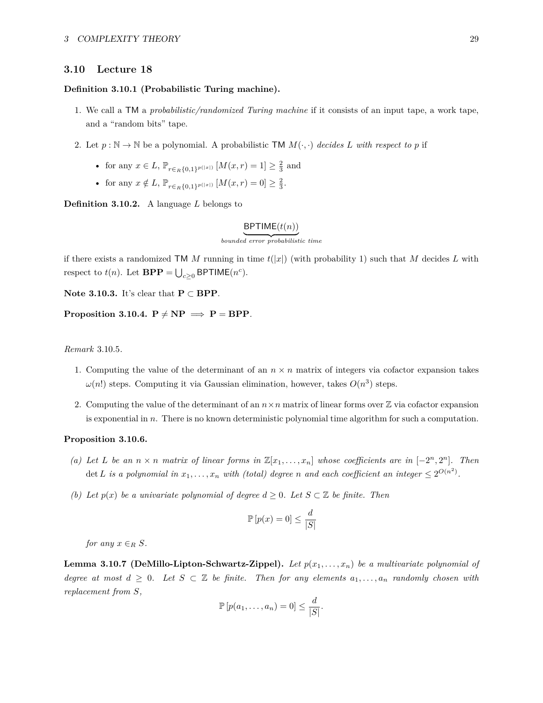#### <span id="page-28-0"></span>**3.10 Lecture 18**

#### **Definition 3.10.1 (Probabilistic Turing machine).**

- 1. We call a TM a *probabilistic/randomized Turing machine* if it consists of an input tape, a work tape, and a "random bits" tape.
- 2. Let  $p : \mathbb{N} \to \mathbb{N}$  be a polynomial. A probabilistic TM  $M(\cdot, \cdot)$  decides L with respect to p if
	- for any  $x \in L$ ,  $\mathbb{P}_{r \in R\{0,1\}^{p(|x|)}} [M(x,r) = 1] \ge \frac{2}{3}$  and
	- for any  $x \notin L$ ,  $\mathbb{P}_{r \in R\{0,1\}^{p(|x|)}} [M(x,r) = 0] \geq \frac{2}{3}$ .

**Definition 3.10.2.** A language *L* belongs to

# BPTIME(*t*(*n*)) | {z } *bounded error probabilistic time*

if there exists a randomized TM *M* running in time  $t(|x|)$  (with probability 1) such that *M* decides *L* with respect to  $t(n)$ . Let  $\mathbf{BPP} = \bigcup_{c \geq 0} \mathsf{BPTIME}(n^c)$ .

**Note 3.10.3.** It's clear that **P** ⊂ **BPP**.

**Proposition 3.10.4.**  $P \neq NP \implies P = BPP$ .

#### *Remark* 3.10.5*.*

- 1. Computing the value of the determinant of an  $n \times n$  matrix of integers via cofactor expansion takes  $\omega(n!)$  steps. Computing it via Gaussian elimination, however, takes  $O(n^3)$  steps.
- 2. Computing the value of the determinant of an  $n \times n$  matrix of linear forms over  $\mathbb Z$  via cofactor expansion is exponential in *n*. There is no known deterministic polynomial time algorithm for such a computation.

#### <span id="page-28-1"></span>**Proposition 3.10.6.**

- *(a)* Let L be an  $n \times n$  matrix of linear forms in  $\mathbb{Z}[x_1, \ldots, x_n]$  whose coefficients are in  $[-2^n, 2^n]$ . Then det *L* is a polynomial in  $x_1, \ldots, x_n$  with (total) degree *n* and each coefficient an integer  $\leq 2^{O(n^2)}$ .
- *(b)* Let  $p(x)$  be a univariate polynomial of degree  $d \geq 0$ . Let  $S \subset \mathbb{Z}$  be finite. Then

$$
\mathbb{P}\left[p(x) = 0\right] \le \frac{d}{|S|}
$$

*for any*  $x \in R$  *S.* 

<span id="page-28-2"></span>**Lemma 3.10.7 (DeMillo-Lipton-Schwartz-Zippel).** Let  $p(x_1, \ldots, x_n)$  be a multivariate polynomial of *degree at most*  $d \geq 0$ *. Let*  $S \subset \mathbb{Z}$  *be finite. Then for any elements*  $a_1, \ldots, a_n$  *randomly chosen with replacement from S,*

$$
\mathbb{P}\left[p(a_1,\ldots,a_n)=0\right]\leq \frac{d}{|S|}.
$$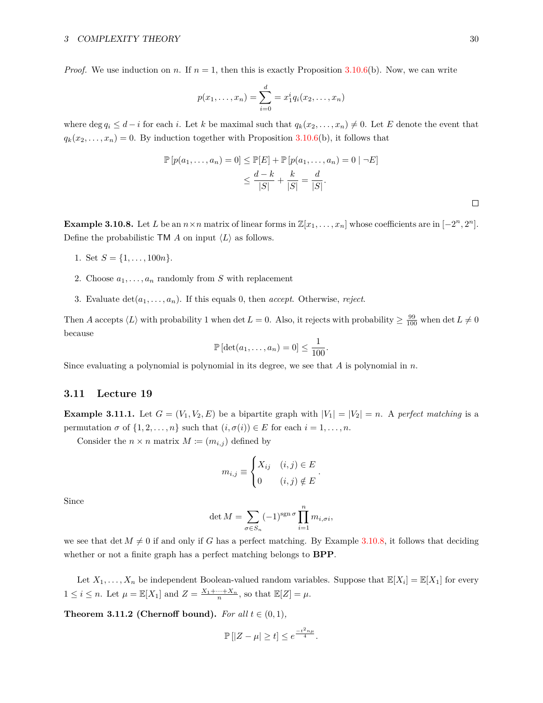*Proof.* We use induction on *n*. If  $n = 1$ , then this is exactly Proposition [3.10.6\(](#page-28-1)b). Now, we can write

$$
p(x_1,...,x_n) = \sum_{i=0}^d = x_1^i q_i(x_2,...,x_n)
$$

where deg  $q_i \leq d - i$  for each *i*. Let *k* be maximal such that  $q_k(x_2, \ldots, x_n) \neq 0$ . Let *E* denote the event that  $q_k(x_2,...,x_n) = 0$ . By induction together with Proposition [3.10.6\(](#page-28-1)b), it follows that

$$
\mathbb{P}\left[p(a_1,\ldots,a_n)=0\right] \leq \mathbb{P}[E] + \mathbb{P}\left[p(a_1,\ldots,a_n)=0 \mid \neg E\right]
$$

$$
\leq \frac{d-k}{|S|} + \frac{k}{|S|} = \frac{d}{|S|}.
$$

<span id="page-29-1"></span>**Example 3.10.8.** Let *L* be an  $n \times n$  matrix of linear forms in  $\mathbb{Z}[x_1,\ldots,x_n]$  whose coefficients are in  $[-2^n,2^n]$ . Define the probabilistic TM *A* on input  $\langle L \rangle$  as follows.

- 1. Set  $S = \{1, \ldots, 100n\}.$
- 2. Choose  $a_1, \ldots, a_n$  randomly from *S* with replacement
- 3. Evaluate  $\det(a_1, \ldots, a_n)$ . If this equals 0, then *accept*. Otherwise, *reject*.

Then *A* accepts  $\langle L \rangle$  with probability 1 when det  $L = 0$ . Also, it rejects with probability  $\geq \frac{99}{100}$  when det  $L \neq 0$ because

$$
\mathbb{P}\left[\det(a_1,\ldots,a_n)=0\right]\leq \frac{1}{100}.
$$

Since evaluating a polynomial is polynomial in its degree, we see that *A* is polynomial in *n*.

### <span id="page-29-0"></span>**3.11 Lecture 19**

**Example 3.11.1.** Let  $G = (V_1, V_2, E)$  be a bipartite graph with  $|V_1| = |V_2| = n$ . A *perfect matching* is a permutation  $\sigma$  of  $\{1, 2, \ldots, n\}$  such that  $(i, \sigma(i)) \in E$  for each  $i = 1, \ldots, n$ .

Consider the  $n \times n$  matrix  $M \coloneqq (m_{i,j})$  defined by

$$
m_{i,j} \equiv \begin{cases} X_{ij} & (i,j) \in E \\ 0 & (i,j) \notin E \end{cases}
$$

*.*

Since

$$
\det M = \sum_{\sigma \in S_n} (-1)^{\operatorname{sgn} \sigma} \prod_{i=1}^n m_{i, \sigma i},
$$

we see that det  $M \neq 0$  if and only if *G* has a perfect matching. By Example [3.10.8,](#page-29-1) it follows that deciding whether or not a finite graph has a perfect matching belongs to **BPP**.

Let  $X_1, \ldots, X_n$  be independent Boolean-valued random variables. Suppose that  $\mathbb{E}[X_i] = \mathbb{E}[X_1]$  for every  $1 \leq i \leq n$ . Let  $\mu = \mathbb{E}[X_1]$  and  $Z = \frac{X_1 + \dots + X_n}{n}$ , so that  $\mathbb{E}[Z] = \mu$ .

<span id="page-29-2"></span>**Theorem 3.11.2 (Chernoff bound).** *For all*  $t \in (0,1)$ *,* 

$$
\mathbb{P}\left[|Z-\mu|\geq t\right]\leq e^{\frac{-t^2n\mu}{4}}.
$$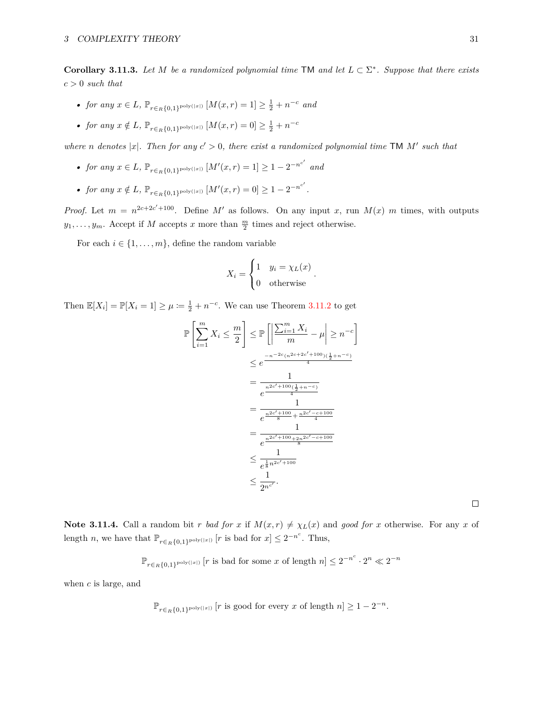**Corollary 3.11.3.** Let *M* be a randomized polynomial time  $TM$  and let  $L \subset \Sigma^*$ . Suppose that there exists *c >* 0 *such that*

- *for any*  $x \in L$ *,*  $\mathbb{P}_{r \in R\{0,1\}^{\text{poly}(|x|)}} [M(x,r) = 1] \ge \frac{1}{2} + n^{-c}$  *and*
- *for any*  $x \notin L$ ,  $\mathbb{P}_{r \in R\{0,1\}^{\text{poly}(|x|)}} [M(x,r) = 0] \ge \frac{1}{2} + n^{-c}$

*where n* denotes |x|. Then for any  $c' > 0$ , there exist a randomized polynomial time TM  $M'$  such that

- *for any*  $x \in L$ *,*  $\mathbb{P}_{r \in R\{0,1\}^{\text{poly}(|x|)}} [M'(x,r) = 1] \ge 1 2^{-n^{c'}}$  and
- *for any*  $x \notin L$ ,  $\mathbb{P}_{r \in R\{0,1\}^{\text{poly}(|x|)}} [M'(x,r) = 0] \ge 1 2^{-n^{c'}}$ .

*Proof.* Let  $m = n^{2c+2c'+100}$ . Define M' as follows. On any input *x*, run  $M(x)$  *m* times, with outputs  $y_1, \ldots, y_m$ . Accept if *M* accepts *x* more than  $\frac{m}{2}$  times and reject otherwise.

For each  $i \in \{1, \ldots, m\}$ , define the random variable

$$
X_i = \begin{cases} 1 & y_i = \chi_L(x) \\ 0 & \text{otherwise} \end{cases}.
$$

Then  $\mathbb{E}[X_i] = \mathbb{P}[X_i = 1] \ge \mu := \frac{1}{2} + n^{-c}$ . We can use Theorem [3.11.2](#page-29-2) to get

$$
\mathbb{P}\left[\sum_{i=1}^{m} X_i \leq \frac{m}{2}\right] \leq \mathbb{P}\left[\left|\frac{\sum_{i=1}^{m} X_i}{m} - \mu\right| \geq n^{-c}\right]
$$
  

$$
\leq e^{\frac{-n^{-2c}(n^{2c+2c'+100})(\frac{1}{2}+n^{-c})}{4}}
$$
  

$$
= \frac{1}{e^{\frac{n^{2c'+100}(\frac{1}{2}+n^{-c})}{4}}}
$$
  

$$
= \frac{1}{e^{\frac{n^{2c'+100}+n^{2c'-c+100}}{4}}}
$$
  

$$
\leq \frac{1}{e^{\frac{1}{8}n^{2c'+100}}}
$$
  

$$
\leq \frac{1}{e^{\frac{1}{8}n^{2c'+100}}}
$$

 $\Box$ 

<span id="page-30-0"></span>**Note 3.11.4.** Call a random bit *r bad for x* if  $M(x,r) \neq \chi_L(x)$  and *good for x* otherwise. For any *x* of length *n*, we have that  $\mathbb{P}_{r \in R\{0,1\}^{\text{poly}(|x|)}}[r]$  is bad for  $x] \leq 2^{-n^c}$ . Thus,

 $\mathbb{P}_{r∈R}$ {0,1}<sup>poly(|*x*|)</sub> [*r* is bad for some *x* of length  $n$ ] ≤  $2^{-n^c} \cdot 2^n \ll 2^{-n}$ </sup>

when *c* is large, and

$$
\mathbb{P}_{r \in_R \{0,1\}^{\mathrm{poly}(|x|)}}\left[r \text{ is good for every } x \text{ of length } n\right] \geq 1-2^{-n}.
$$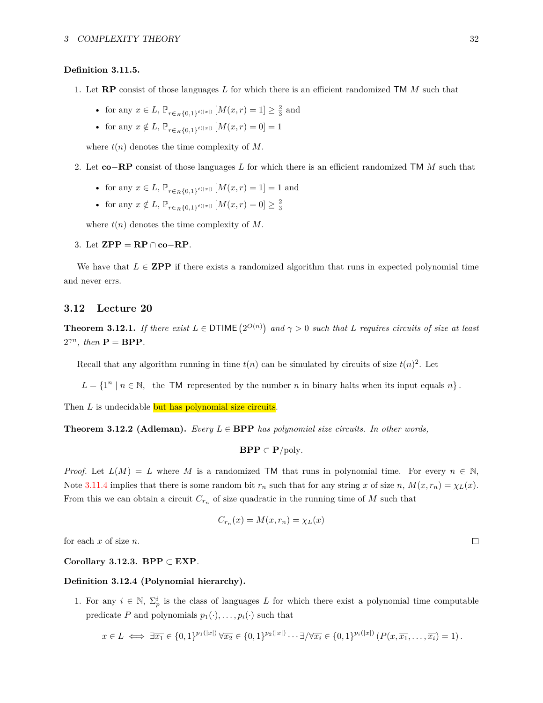#### **Definition 3.11.5.**

- 1. Let **RP** consist of those languages *L* for which there is an efficient randomized TM *M* such that
	- for any  $x \in L$ ,  $\mathbb{P}_{r \in R^{\{0,1\}}}(x|x|)$   $[M(x,r) = 1] \geq \frac{2}{3}$  and
	- for any  $x \notin L$ ,  $\mathbb{P}_{r \in R\{0,1\}^{t(|x|)}} [M(x,r) = 0] = 1$

where  $t(n)$  denotes the time complexity of  $M$ .

- 2. Let **co**−**RP** consist of those languages *L* for which there is an efficient randomized TM *M* such that
	- for any  $x \in L$ ,  $\mathbb{P}_{r \in R^{\{0,1\}^{t(|x|) \}}} [M(x,r) = 1] = 1$  and
	- for any  $x \notin L$ ,  $\mathbb{P}_{r \in R\{0,1\}^{t(|x|)}} [M(x,r) = 0] \geq \frac{2}{3}$

where  $t(n)$  denotes the time complexity of  $M$ .

### 3. Let **ZPP** = **RP** ∩ **co**−**RP**.

We have that  $L \in \mathbf{ZPP}$  if there exists a randomized algorithm that runs in expected polynomial time and never errs.

### <span id="page-31-0"></span>**3.12 Lecture 20**

**Theorem 3.12.1.** If there exist  $L \in \text{DTIME}(2^{O(n)})$  and  $\gamma > 0$  such that  $L$  requires circuits of size at least  $2^{\gamma n}$ *, then*  $P = BPP$ *.* 

Recall that any algorithm running in time  $t(n)$  can be simulated by circuits of size  $t(n)^2$ . Let

 $L = \{1^n | n \in \mathbb{N}, \text{ the TM represented by the number } n \text{ in binary halts when its input equals } n\}.$ 

Then *L* is undecidable but has polynomial size circuits.

**Theorem 3.12.2 (Adleman).** *Every L* ∈ **BPP** *has polynomial size circuits. In other words,*

$$
\mathbf{BPP} \subset \mathbf{P}/\mathrm{poly}.
$$

*Proof.* Let  $L(M) = L$  where M is a randomized TM that runs in polynomial time. For every  $n \in \mathbb{N}$ , Note [3.11.4](#page-30-0) implies that there is some random bit  $r_n$  such that for any string *x* of size *n*,  $M(x, r_n) = \chi_L(x)$ . From this we can obtain a circuit  $C_{r_n}$  of size quadratic in the running time of  $M$  such that

$$
C_{r_n}(x) = M(x, r_n) = \chi_L(x)
$$

for each *x* of size *n*.

#### **Corollary 3.12.3. BPP** ⊂ **EXP***.*

#### **Definition 3.12.4 (Polynomial hierarchy).**

1. For any  $i \in \mathbb{N}$ ,  $\Sigma_p^i$  is the class of languages *L* for which there exist a polynomial time computable predicate *P* and polynomials  $p_1(\cdot), \ldots, p_i(\cdot)$  such that

$$
x\in L \iff \exists \overline{x_1}\in \{0,1\}^{p_1(|x|)}\,\forall \overline{x_2}\in \{0,1\}^{p_2(|x|)}\cdots \exists/\forall \overline{x_i}\in \{0,1\}^{p_i(|x|)}\left(P(x,\overline{x_1},\ldots,\overline{x_i})=1\right).
$$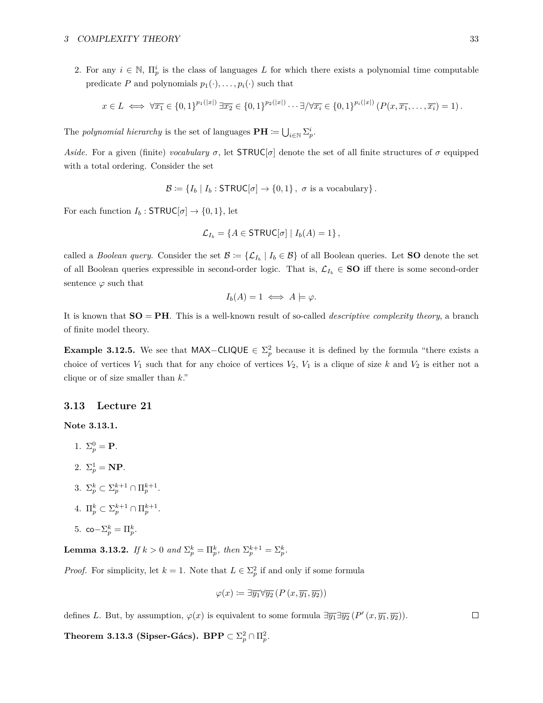2. For any  $i \in \mathbb{N}$ ,  $\Pi_p^i$  is the class of languages *L* for which there exists a polynomial time computable predicate *P* and polynomials  $p_1(\cdot), \ldots, p_i(\cdot)$  such that

$$
x\in L \iff \forall \overline{x_1}\in \{0,1\}^{p_1(|x|)}\,\exists \overline{x_2}\in \{0,1\}^{p_2(|x|)}\cdots \exists/\forall \overline{x_i}\in \{0,1\}^{p_i(|x|)}\left(P(x,\overline{x_1},\ldots,\overline{x_i})=1\right).
$$

The *polynomial hierarchy* is the set of languages  $\mathbf{PH} \coloneqq \bigcup_{i \in \mathbb{N}} \Sigma_p^i$ .

*Aside.* For a given (finite) *vocabulary*  $\sigma$ , let **STRUC**[ $\sigma$ ] denote the set of all finite structures of  $\sigma$  equipped with a total ordering. Consider the set

$$
\mathcal{B} \coloneqq \{I_b \mid I_b : \mathsf{STRUC}[\sigma] \to \{0,1\}, \; \sigma \text{ is a vocabulary}\}.
$$

For each function  $I_b$ : **STRUC**[ $\sigma$ ]  $\rightarrow$  {0, 1}, let

$$
\mathcal{L}_{I_b} = \{ A \in \text{STRUC}[\sigma] \mid I_b(A) = 1 \},
$$

called a *Boolean query*. Consider the set  $\mathcal{B} := \{\mathcal{L}_{I_b} \mid I_b \in \mathcal{B}\}$  of all Boolean queries. Let **SO** denote the set of all Boolean queries expressible in second-order logic. That is,  $\mathcal{L}_{I_b} \in \mathbf{SO}$  iff there is some second-order sentence  $\varphi$  such that

$$
I_b(A) = 1 \iff A \models \varphi.
$$

It is known that **SO** = **PH**. This is a well-known result of so-called *descriptive complexity theory*, a branch of finite model theory.

**Example 3.12.5.** We see that MAX-CLIQUE  $\in \Sigma_p^2$  because it is defined by the formula "there exists a choice of vertices  $V_1$  such that for any choice of vertices  $V_2$ ,  $V_1$  is a clique of size  $k$  and  $V_2$  is either not a clique or of size smaller than *k*."

## <span id="page-32-0"></span>**3.13 Lecture 21**

**Note 3.13.1.**

- 1.  $\Sigma_p^0 = \mathbf{P}$ .
- 2.  $\Sigma_p^1 = \mathbf{NP}$ .
- 3.  $\Sigma_p^k \subset \Sigma_p^{k+1} \cap \Pi_p^{k+1}$ .
- 4.  $\Pi_p^k \subset \Sigma_p^{k+1} \cap \Pi_p^{k+1}$ .
- 5. co $-\Sigma_p^k = \Pi_p^k$ .

**Lemma 3.13.2.** *If*  $k > 0$  *and*  $\Sigma_p^k = \Pi_p^k$ *, then*  $\Sigma_p^{k+1} = \Sigma_p^k$ *.* 

*Proof.* For simplicity, let  $k = 1$ . Note that  $L \in \Sigma_p^2$  if and only if some formula

$$
\varphi(x) := \exists \overline{y_1} \forall \overline{y_2} \left( P \left( x, \overline{y_1}, \overline{y_2} \right) \right)
$$

defines *L*. But, by assumption,  $\varphi(x)$  is equivalent to some formula  $\exists \overline{y_1} \exists \overline{y_2} (P'(x, \overline{y_1}, \overline{y_2}))$ .

**Theorem 3.13.3 (Sipser-Gács). BPP**  $\subset \Sigma_p^2 \cap \Pi_p^2$ .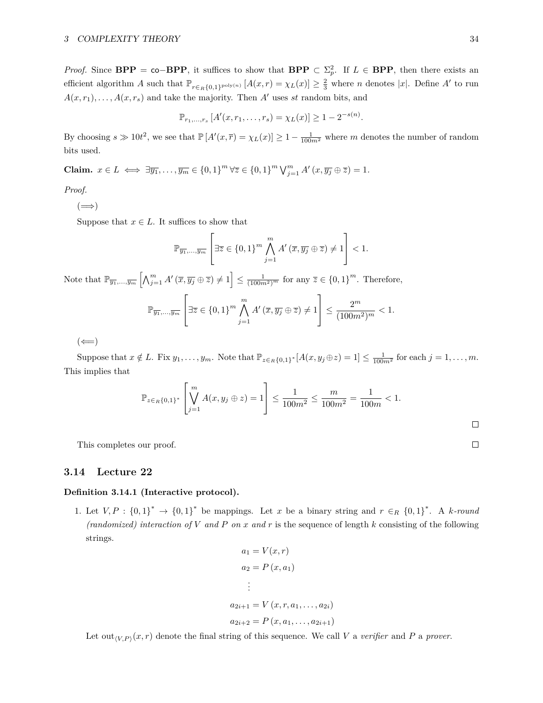*Proof.* Since  $\text{BPP} = \text{co}-\text{BPP}$ , it suffices to show that  $\text{BPP} \subset \Sigma_p^2$ . If  $L \in \text{BPP}$ , then there exists an efficient algorithm *A* such that  $\mathbb{P}_{r \in R\{0,1\}^{\text{poly}(n)}} [A(x,r) = \chi_L(x)] \geq \frac{2}{3}$  where *n* denotes |*x*|. Define *A'* to run  $A(x, r_1), \ldots, A(x, r_s)$  and take the majority. Then *A'* uses *st* random bits, and

$$
\mathbb{P}_{r_1,\ldots,r_s}[A'(x,r_1,\ldots,r_s)=\chi_L(x)]\geq 1-2^{-s(n)}.
$$

By choosing  $s \gg 10t^2$ , we see that  $\mathbb{P}[A'(x,\overline{r}) = \chi_L(x)] \geq 1 - \frac{1}{100m^2}$  where *m* denotes the number of random bits used.

**Claim.**  $x \in L \iff \exists \overline{y_1}, \dots, \overline{y_m} \in \{0, 1\}^m \forall \overline{z} \in \{0, 1\}^m \bigvee_{j=1}^m A'(x, \overline{y_j} \oplus \overline{z}) = 1.$ 

# *Proof.*

 $(\Longrightarrow)$ 

Suppose that  $x \in L$ . It suffices to show that

$$
\mathbb{P}_{\overline{y_1},...,\overline{y_m}}\left[\exists \overline{z} \in \{0,1\}^m \bigwedge_{j=1}^m A'(\overline{x}, \overline{y_j} \oplus \overline{z}) \neq 1\right] < 1.
$$

Note that  $\mathbb{P}_{\overline{y_1},...,\overline{y_m}}\left[\bigwedge_{j=1}^m A'(\overline{x}, \overline{y_j} \oplus \overline{z}) \neq 1\right] \leq \frac{1}{(100m^2)^m}$  for any  $\overline{z} \in \{0,1\}^m$ . Therefore,

$$
\mathbb{P}_{\overline{y_1},\ldots,\overline{y_m}}\left[\exists \overline{z} \in \{0,1\}^m \bigwedge_{j=1}^m A'(\overline{x}, \overline{y_j} \oplus \overline{z}) \neq 1\right] \le \frac{2^m}{(100m^2)^m} < 1.
$$

 $(\Leftarrow)$ 

Suppose that  $x \notin L$ . Fix  $y_1, \ldots, y_m$ . Note that  $\mathbb{P}_{z \in R\{0,1\}^*}[A(x, y_j \oplus z) = 1] \le \frac{1}{100m^2}$  for each  $j = 1, \ldots, m$ . This implies that

$$
\mathbb{P}_{z \in R\{0,1\}^*} \left[ \bigvee_{j=1}^m A(x, y_j \oplus z) = 1 \right] \le \frac{1}{100m^2} \le \frac{m}{100m^2} = \frac{1}{100m} < 1.
$$

This completes our proof.

#### <span id="page-33-0"></span>**3.14 Lecture 22**

### **Definition 3.14.1 (Interactive protocol).**

1. Let  $V, P: \{0,1\}^* \to \{0,1\}^*$  be mappings. Let *x* be a binary string and  $r \in_R \{0,1\}^*$ . A *k-round* (randomized) interaction of V and P on x and r is the sequence of length  $k$  consisting of the following strings.

$$
a_1 = V(x, r)
$$
  
\n
$$
a_2 = P(x, a_1)
$$
  
\n
$$
\vdots
$$
  
\n
$$
a_{2i+1} = V(x, r, a_1, \dots, a_{2i})
$$
  
\n
$$
a_{2i+2} = P(x, a_1, \dots, a_{2i+1})
$$

Let out<sub>*V,P*</sub> $(x, r)$  denote the final string of this sequence. We call *V* a *verifier* and *P* a *prover*.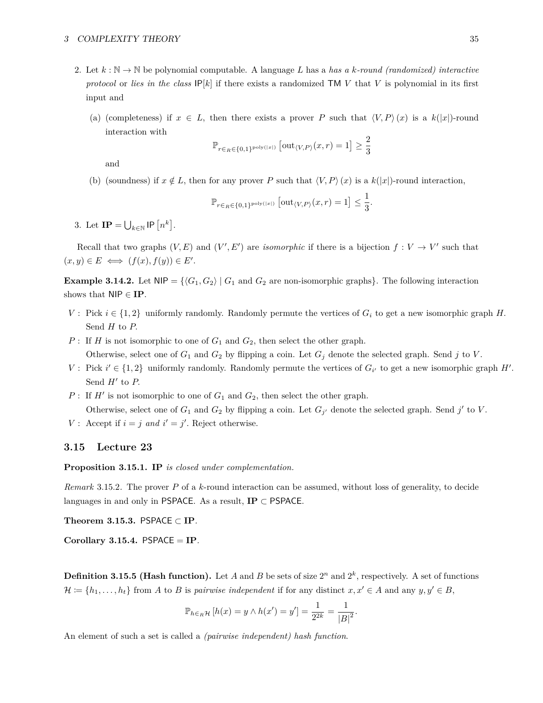#### 3 COMPLEXITY THEORY 35

- 2. Let  $k : \mathbb{N} \to \mathbb{N}$  be polynomial computable. A language L has a has a k-round (randomized) interactive *protocol* or *lies in the class*  $IP[k]$  if there exists a randomized TM *V* that *V* is polynomial in its first input and
	- (a) (completeness) if  $x \in L$ , then there exists a prover *P* such that  $\langle V, P \rangle(x)$  is a  $k(|x|)$ -round interaction with

$$
\mathbb{P}_{r \in R \in \{0,1\}^{\mathrm{poly}(|x|)}} \left[ \mathrm{out}_{\langle V, P \rangle}(x,r) = 1 \right] \geq \frac{2}{3}
$$

and

(b) (soundness) if  $x \notin L$ , then for any prover *P* such that  $\langle V, P \rangle(x)$  is a  $k(|x|)$ -round interaction,

$$
\mathbb{P}_{r \in_R \in \{0,1\}^{\mathrm{poly}(|x|)}} \left[ \mathrm{out}_{\langle V, P \rangle}(x,r) = 1 \right] \leq \frac{1}{3}
$$

*.*

3. Let  $\mathbf{IP} = \bigcup_{k \in \mathbb{N}} \mathsf{IP} \left[ n^k \right]$ .

Recall that two graphs  $(V, E)$  and  $(V', E')$  are *isomorphic* if there is a bijection  $f: V \to V'$  such that  $(x, y) \in E \iff (f(x), f(y)) \in E'.$ 

**Example 3.14.2.** Let  $NIP = \{(G_1, G_2) | G_1 \text{ and } G_2 \text{ are non-isomorphic graphs}\}.$  The following interaction shows that NIP ∈ **IP**.

- *V* : Pick  $i \in \{1,2\}$  uniformly randomly. Randomly permute the vertices of  $G_i$  to get a new isomorphic graph *H*. Send *H* to *P.*
- *P* : If *H* is not isomorphic to one of  $G_1$  and  $G_2$ , then select the other graph. Otherwise, select one of  $G_1$  and  $G_2$  by flipping a coin. Let  $G_j$  denote the selected graph. Send *j* to *V*.
- *V*: Pick  $i' \in \{1, 2\}$  uniformly randomly. Randomly permute the vertices of  $G_{i'}$  to get a new isomorphic graph  $H'$ . Send  $H'$  to  $P$ .
- *P* : If  $H'$  is not isomorphic to one of  $G_1$  and  $G_2$ , then select the other graph. Otherwise, select one of  $G_1$  and  $G_2$  by flipping a coin. Let  $G_{j'}$  denote the selected graph. Send  $j'$  to V.
- *V* : Accept if  $i = j$  *and*  $i' = j'$ . Reject otherwise.

## <span id="page-34-0"></span>**3.15 Lecture 23**

**Proposition 3.15.1. IP** *is closed under complementation.*

*Remark* 3.15.2*.* The prover *P* of a *k*-round interaction can be assumed, without loss of generality, to decide languages in and only in PSPACE. As a result,  $IP \subset PSPACE$ .

**Theorem 3.15.3.** PSPACE ⊂ **IP***.*

**Corollary 3.15.4.** PSPACE = **IP***.*

**Definition 3.15.5 (Hash function).** Let *A* and *B* be sets of size  $2^n$  and  $2^k$ , respectively. A set of functions  $\mathcal{H} := \{h_1, \ldots, h_t\}$  from *A* to *B* is *pairwise independent* if for any distinct  $x, x' \in A$  and any  $y, y' \in B$ ,

$$
\mathbb{P}_{h \in R} \mathcal{H} [h(x) = y \wedge h(x') = y'] = \frac{1}{2^{2k}} = \frac{1}{|B|^2}.
$$

An element of such a set is called a *(pairwise independent) hash function*.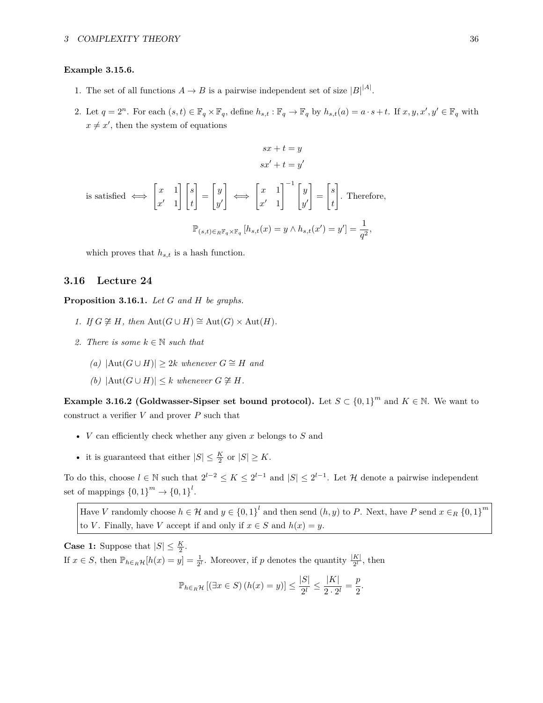#### **Example 3.15.6.**

- 1. The set of all functions  $A \to B$  is a pairwise independent set of size  $|B|^{A|}$ .
- 2. Let  $q = 2^n$ . For each  $(s, t) \in \mathbb{F}_q \times \mathbb{F}_q$ , define  $h_{s,t} : \mathbb{F}_q \to \mathbb{F}_q$  by  $h_{s,t}(a) = a \cdot s + t$ . If  $x, y, x', y' \in \mathbb{F}_q$  with  $x \neq x'$ , then the system of equations

$$
sx + t = y
$$

$$
sx' + t = y'
$$

is satisfied 
$$
\iff
$$
  $\begin{bmatrix} x & 1 \\ x' & 1 \end{bmatrix} \begin{bmatrix} s \\ t \end{bmatrix} = \begin{bmatrix} y \\ y' \end{bmatrix} \iff \begin{bmatrix} x & 1 \\ x' & 1 \end{bmatrix}^{-1} \begin{bmatrix} y \\ y' \end{bmatrix} = \begin{bmatrix} s \\ t \end{bmatrix}$ . Therefore,  

$$
\mathbb{P}_{(s,t)\in_R\mathbb{F}_q\times\mathbb{F}_q} [h_{s,t}(x) = y \land h_{s,t}(x') = y'] = \frac{1}{q^2},
$$

which proves that  $h_{s,t}$  is a hash function.

# <span id="page-35-0"></span>**3.16 Lecture 24**

**Proposition 3.16.1.** *Let G and H be graphs.*

- *1. If*  $G \not\cong H$ *, then* Aut $(G \cup H) \cong$  Aut $(G) \times$  Aut $(H)$ *.*
- 2. There is some  $k \in \mathbb{N}$  such that
	- $(a) |Aut(G ∪ H)| ≥ 2k$  *whenever*  $G ≅ H$  *and*
	- *(b)*  $|\text{Aut}(G \cup H)| \leq k$  *whenever*  $G \not\cong H$ *.*

**Example 3.16.2 (Goldwasser-Sipser set bound protocol).** Let  $S \subset \{0,1\}^m$  and  $K \in \mathbb{N}$ . We want to construct a verifier  $V$  and prover  $P$  such that

- *V* can efficiently check whether any given *x* belongs to *S* and
- it is guaranteed that either  $|S| \leq \frac{K}{2}$  or  $|S| \geq K$ .

To do this, choose  $l \in \mathbb{N}$  such that  $2^{l-2} \le K \le 2^{l-1}$  and  $|S| \le 2^{l-1}$ . Let H denote a pairwise independent set of mappings  $\{0,1\}^m \to \{0,1\}^l$ .

Have *V* randomly choose  $h \in \mathcal{H}$  and  $y \in \{0,1\}^l$  and then send  $(h, y)$  to *P*. Next, have *P* send  $x \in_R \{0,1\}^m$ to *V*. Finally, have *V* accept if and only if  $x \in S$  and  $h(x) = y$ .

**Case 1:** Suppose that  $|S| \leq \frac{K}{2}$ . If  $x \in S$ , then  $\mathbb{P}_{h \in_R} \mathcal{H}[h(x) = y] = \frac{1}{2^l}$ . Moreover, if *p* denotes the quantity  $\frac{|K|}{2^l}$ , then

$$
\mathbb{P}_{h \in_R \mathcal{H}}\left[ (\exists x \in S) \left( h(x) = y \right) \right] \le \frac{|S|}{2^l} \le \frac{|K|}{2 \cdot 2^l} = \frac{p}{2}.
$$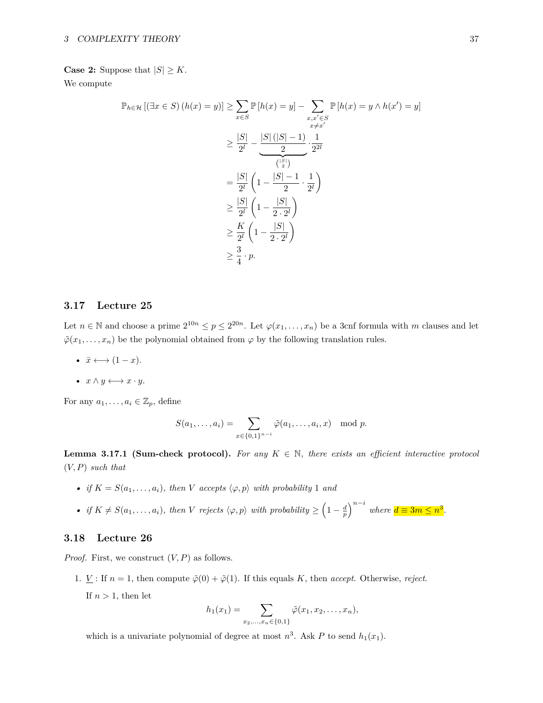# **Case 2:** Suppose that  $|S| \geq K$ .

We compute

$$
\mathbb{P}_{h \in \mathcal{H}}\left[ (\exists x \in S) \left( h(x) = y \right) \right] \ge \sum_{x \in S} \mathbb{P}\left[ h(x) = y \right] - \sum_{\substack{x, x' \in S \\ x \neq x'}} \mathbb{P}\left[ h(x) = y \land h(x') = y \right]
$$

$$
\ge \frac{|S|}{2^l} - \frac{|S| \left( |S| - 1 \right)}{2} \cdot \frac{1}{2^{2l}}
$$

$$
= \frac{|S|}{2^l} \left( 1 - \frac{|S| - 1}{2} \cdot \frac{1}{2^l} \right)
$$

$$
\ge \frac{|S|}{2^l} \left( 1 - \frac{|S|}{2 \cdot 2^l} \right)
$$

$$
\ge \frac{K}{2^l} \left( 1 - \frac{|S|}{2 \cdot 2^l} \right)
$$

$$
\ge \frac{3}{4} \cdot p.
$$

# <span id="page-36-0"></span>**3.17 Lecture 25**

Let  $n \in \mathbb{N}$  and choose a prime  $2^{10n} \leq p \leq 2^{20n}$ . Let  $\varphi(x_1, \ldots, x_n)$  be a 3cnf formula with *m* clauses and let  $\tilde{\varphi}(x_1,\ldots,x_n)$  be the polynomial obtained from  $\varphi$  by the following translation rules.

•  $\bar{x} \longleftrightarrow (1-x)$ .

• 
$$
x \wedge y \longleftrightarrow x \cdot y
$$
.

For any  $a_1, \ldots, a_i \in \mathbb{Z}_p$ , define

$$
S(a_1,\ldots,a_i)=\sum_{x\in\{0,1\}^{n-i}}\tilde{\varphi}(a_1,\ldots,a_i,x) \mod p.
$$

<span id="page-36-2"></span>**Lemma 3.17.1 (Sum-check protocol).** For any  $K \in \mathbb{N}$ , there exists an efficient interactive protocol (*V, P*) *such that*

- *if*  $K = S(a_1, \ldots, a_i)$ *, then V accepts*  $\langle \varphi, p \rangle$  *with probability* 1 *and*
- if  $K \neq S(a_1, \ldots, a_i)$ , then V rejects  $\langle \varphi, p \rangle$  with probability  $\geq \left(1 \frac{d}{p}\right)^{n-i}$  where  $d \equiv 3m \leq n^3$ .

# <span id="page-36-1"></span>**3.18 Lecture 26**

*Proof.* First, we construct (*V, P*) as follows.

1. *V* : If  $n = 1$ , then compute  $\tilde{\varphi}(0) + \tilde{\varphi}(1)$ . If this equals *K*, then *accept*. Otherwise, *reject*.

If  $n > 1$ , then let

$$
h_1(x_1) = \sum_{x_2,...,x_n \in \{0,1\}} \tilde{\varphi}(x_1, x_2,...,x_n),
$$

which is a univariate polynomial of degree at most  $n^3$ . Ask P to send  $h_1(x_1)$ .